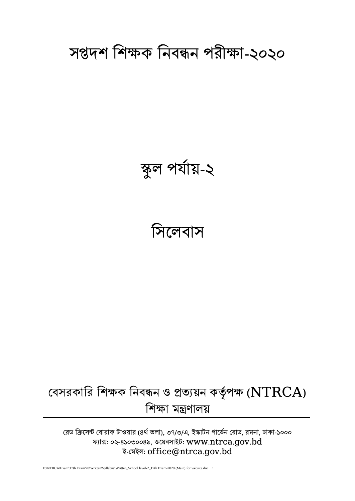# বেসরকারি শিক্ষক নিবন্ধন ও প্রত্যয়ন কর্তৃপক্ষ ( $\operatorname{NTRCA}$ ) শশক্ষা মন্ত্রণালয়

রেড ক্রিসেন্ট বোরাক টাওয়ার (৪র্থ তলা), ৩৭/৩/এ, ইস্কাটন গার্ডেন রোড, রমনা, ঢাকা-১০০০ ফ্যাক্স: ০২-৪১০৩০০৪৯, ওলয়বসাইট: [www.ntrca.gov.bd](http://www.ntrca.gov.bd/) ই-বমইল: office@ntrca.gov.bd

E:\NTRCA\Exam\17th Exam'20\Written\Syllabus\Written\_School level-2\_17th Exam-2020 (Main) for website.doc 1

# সিলেবাস

# স্কুল পর্ায য়-২

সপ্তদশ শশক্ষক শিবন্ধি পরীক্ষা-২০২০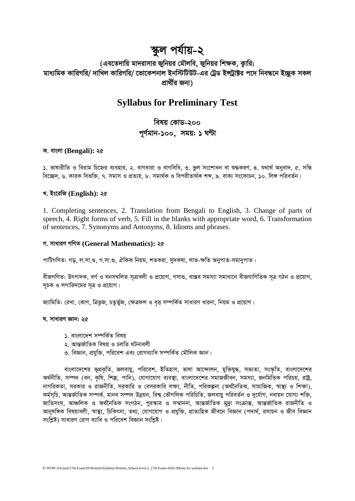## স্কুল পৰ্যায়-২

(এবতেদায়ি মাদরাসার জুনিয়র মৌলবি, জুনিয়র শিক্ষক, কারি; মাধ্যমিক কারিগরি/ দাখিল কারিগরি/ ভোকেশনাল ইনস্টিটিউট-এর ট্রেড ইন্স্ট্রাক্টর পদে নিবন্ধনে ইচ্ছক সকল প্ৰাৰ্থীৱ জনা)

## **Syllabus for Preliminary Test**

বিষয় কোড-২০০ পূর্ণমান-১০০, সময়: ১ ঘণ্টা

#### ক. বাংলা (Bengali): ২৫

১. ভাষারীতি ও বিরাম চিহ্নের ব্যবহার, ২. বাগধারা ও বাগবিধি, ৩. ভুল সংশোধন বা শুদ্ধকরণ, ৪. যথার্থ অনুবাদ, ৫. সন্ধি বিচ্ছেদ, ৬, কারক বিভক্তি, ৭, সমাস ও প্রত্যয়, ৮, সমার্থক ও বিপরীতার্থক শব্দ, ৯, বাক্য সংকোচন, ১০, লিঙ্গ পরিবর্তন।

#### খ. ইংরেজি (English): ২৫

1. Completing sentences, 2. Translation from Bengali to English, 3. Change of parts of speech, 4. Right forms of verb, 5. Fill in the blanks with appropriate word, 6. Transformation of sentences, 7. Synonyms and Antonyms, 8. Idioms and phrases.

#### গ. সাধারণ গণিত (General Mathematics): ২৫

পাটিগণিত: গড়, ল.সা.গু, গ.সা.গু, ঐকিক নিয়ম, শতকরা, সুদক্ষা, লাভ-ক্ষতি অনুপাত-সমানুপাত।

বীজগণিত: উৎপাদক, বৰ্গ ও ঘনসম্বলিত সূত্ৰাবলী ও প্ৰয়োগ, গসাগু, বাস্তব সমস্যা সমাধানে বীজগাণিতিক সূত্ৰ গঠন ও প্ৰয়োগ, সচক ও লগারিদমের সত্র ও প্রয়োগ।

জ্যামিতি: রেখা, কোণ, ত্রিভুজ, চতুর্ভুজ, ক্ষেত্রফল ও বৃত্ত সম্পর্কিত সাধারণ ধারনা, নিয়ম ও প্রয়োগ।

#### ঘ. সাধারণ জ্ঞান: ২৫

- ১. বাংলাদেশ সম্পৰ্কিত বিষয়
- ২ আন্তর্জাতিক বিষয় ও চলতি ঘটনাবলী
- ৩. বিজ্ঞান, প্রযুক্তি, পরিবেশ এবং রোগব্যাধি সম্পর্কিত মৌলিক জ্ঞান।

বাংলাদেশের ভূপ্রকৃতি, জলবায়ু, পরিবেশ, ইতিহাস, ভাষা আন্দোলন, মুক্তিযুদ্ধ, সভ্যতা, সংস্কৃতি, বাংলাদেশের অর্থনীতি, সম্পদ (বন, কৃষি, শিল্প, পানি), যোগাযোগ ব্যবস্থা, বাংলাদেশের সমাজজীবন, সমস্যা, জনমিতিক পরিচয়, রাষ্ট্র, নাগরিকতা, সরকার ও রাজনীতি, সরকারি ও বেসরকারি লক্ষ্য, নীতি, পরিকল্পনা (অর্থনৈতিক, সামাজিক, স্বাস্থ্য ও শিক্ষা), কর্মসূচি, আন্তর্জাতিক সম্পর্ক, মানব সম্পদ উন্নয়ন, বিশ্ব ভৌগলিক পরিচিতি, জলবায়ু পরিবর্তন ও দুর্যোগ, নবায়ন যোগ্য শক্তি, জাতিসংঘ, আঞ্চলিক ও অৰ্থনৈতিক সংগঠন, পুরস্কার ও সম্মাননা, আন্তর্জাতিক মূদ্রা সংক্রান্ত, আন্তর্জাতিক রাজনীতি ও আনুষঙ্গিক বিষয়াবলী, স্বাস্থ্য, চিকিৎসা, তথ্য, যোগযোগ ও প্রযুক্তি, প্রাত্যহিক জীবনে বিজ্ঞান (পদার্থ, রসায়ন ও জীব বিজ্ঞান সংশ্লিষ্ট) সাধারণ রোগ ব্যাধি ও পরিবেশ বিজ্ঞান সংশ্লিষ্ট।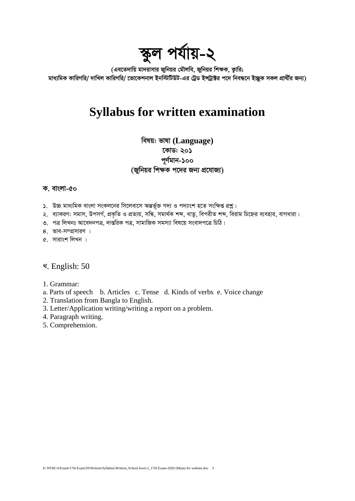# স্কুল পৰ্যায়-২

(এবতেদায়ি মাদরাসার জুনিয়র মৌলবি, জুনিয়র শিক্ষক, কুারি; মাধ্যমিক কারিগরি/ দাখিল কারিগরি/ ভোকেশনাল ইনস্টিটিউট-এর ট্রেড ইন্সট্রাক্টর পদে নিবন্ধনে ইচ্ছক সকল প্রার্থীর জন্য)

## **Syllabus for written examination**

বিষয়: ভাষা (Language) কোড: ২০১ পূৰ্ণমান-১০০ (জুনিয়র শিক্ষক পদের জন্য প্রযোজ্য)

#### ক. বাংলা-৫০

- ১. উচ্চ মাধ্যমিক বাংলা সংকলনের সিলেবাসে অন্তর্ভুক্ত গদ্য ও পদ্যাংশ হতে সংক্ষিপ্ত প্রশ্ন।
- ২. ব্যাকরণ: সমাস, উপসর্গ, প্রকৃতি ও প্রত্যয়, সন্ধি, সমার্থক শব্দ, ধাতু, বিপরীত শব্দ, বিরাম চিহ্নের ব্যবহার, বাগধারা।
- ৩. পত্র লিখনঃ আবেদনপত্র, দার্ন্তরিক পত্র, সামাজিক সমস্যা বিষয়ে সংবাদপত্রে চিঠি।
- 8. ভাব-সম্প্রসারণ ।
- ৫. সারাংশ লিখন ।

### খ. English: 50

- 1. Grammar:
- a. Parts of speech b. Articles c. Tense d. Kinds of verbs e. Voice change
- 2. Translation from Bangla to English.
- 3. Letter/Application writing/writing a report on a problem.
- 4. Paragraph writing.
- 5. Comprehension.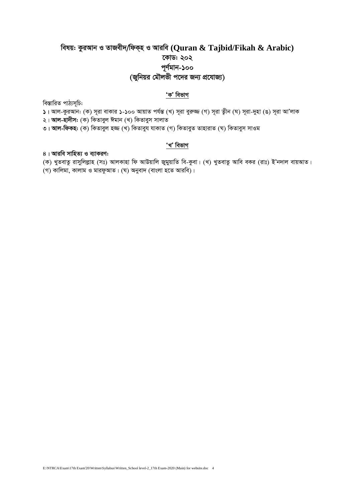## বিষয়: কুরআন ও তাজবীদ/ফিক্হ ও আরবি (Quran & Tajbid/Fikah & Arabic) কোড: ২০২ ্র্যাল-১০০<br>(জুনিয়র মৌলভী পদের জন্য প্রযোজ্য)

### 'ক' বিভাগ

বিস্তারিত পাঠ্যসূচি:

১। আল-কুরআন: (ক) সূরা বাকার ১-১০০ আয়াত পর্যন্ত (খ) সূরা বুরুজ্জ (গ) সূরা ত্বীন (ঘ) সূরা-দুহা (ঙ) সূরা আ'লাক

২। **আল-হাদীস:** (ক) কিতাবল ঈমান (খ) কিতাবুস সালাত

৩। **আল-ফিকহ:** (ক) কিতাবুল হজ্জ (খ) কিতাবুয় যাকাত (গ) কিতাবুত তাহারাত (ঘ) কিতাবুস সাওম

### 'খ' বিভাগ

৪। আরবি সাহিত্য ও ব্যাকরণ:

(ক) খুতবাতু রাসুলিল্লাহ (সঃ) আলকাহা ফি আউয়ালি জুমুয়াতি বি-কুবা। (খ) খুতবাতু আবি বকর (রাঃ) ই'নদাল বায়আত।

।<br>(গ) কালিমা, কালাম ও মারফুআত। (ঘ) অনুবাদ (বাংলা হতে আরবি)।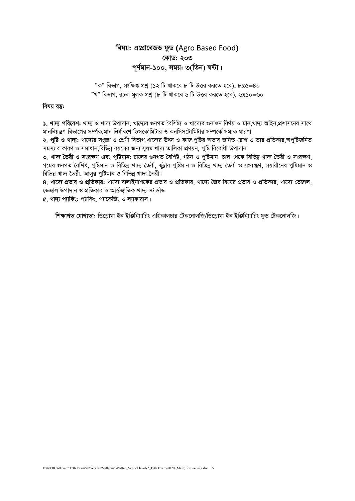## *welq: G‡MÖv‡eRW dzW* **(**Agro Based Food**)** *†KvW: 203 c~Y©gvb-100, mgq: 3(wZb) N›Uv|*

 $^{\prime\prime}$ ক" বিভাগ, সংক্ষিপ্ত প্রশ্ন (১২ টি থাকবে ৮ টি উত্তর করতে হবে), ৮x*৫=*8০ *ÓLÓ wefvM, iPbv g~jK cÖkœ (8 wU \_vK‡e 6 wU DËi Ki‡Z n‡e), 6*x*10=60*

#### *বিষয় বস্তু:*

 $\lambda$ . খাদ্য পরিবেশ: খাদ্য ও খাদ্য উপাদান, খাদ্যের গুনগত বৈশিষ্ট্য ও খাদ্যের গুনাগুন নির্ণয় ও মান,খাদ্য আইন,প্রশাসনের সাথে মাননিয়ন্ত্রণ বিভাগের সর্ম্পক,মান নির্ধারণে ডিসকোমিটার ও কনসিসটোমিটার সম্পর্কে সম্যক ধারণা।

২. পৃষ্টি ও খাদ্য: খাদ্যের সংজ্ঞা ও শ্রেণী বিভাগ খাদ্যের উৎস ও কাজ পৃষ্টির অভাব জনিত রোগ ও তার প্রতিকার অপুষ্টিজনিত *স*মস্যার কারণ ও সমাধান বিভিন্ন বয়সের জন্য সমম খাদ্য তালিকা প্রণয়ন, পষ্টি বিরোধী উপাদান

৩. খাদ্য **তৈরী ও সংরক্ষণ এবং পষ্টিমান:** চালের গুনগত বৈশিষ্ট, গঠন ও পষ্টিমান, চাল থেকে বিভিন্ন খাদ্য তৈরী ও সংরক্ষণ, *প*মের গুনগত বৈশিষ্ট, পুষ্টিমান ও বিভিন্ন খাদ্য তৈরী, ভট্টার পুষ্টিমান ও বিভিন্ন খাদ্য তৈরী ও সংরক্ষ্ণণ, সয়াবীনের পুষ্টিমান ও  $\widehat{R}$ ভিন্ন খাদ্য তৈরী, আলুর পুষ্টিমান ও বিভিন্ন খাদ্য তৈরী।

 $8$ . খাদ্যে প্রভাব ও প্রতিকার: খাদ্যে বালাইনাশকের প্রভাব ও প্রতিকার, খাদ্যে জৈব বিষের প্রভাব ও প্রতিকার, খাদ্যে ভেজাল, *†fRvj Dcv`vb I cÖwZKvi I AvšÍ©RvwZK Lv`¨ ÷vÛ©vW*

**৫. খাদ্য প্যাকিং**: প্যাকিং, প্যাকেজিং ও ল্যাকারাস।

 $\hat{\textbf{r}}$ ক্ষাগত যোগ্যতা: ডিপ্লোমা ইন ইঞ্জিনিয়ারিং এগ্রিকালচার টেকনোলজি/ডিপ্লোমা ইন ইঞ্জিনিয়ারিং ফড টেকনোলজি।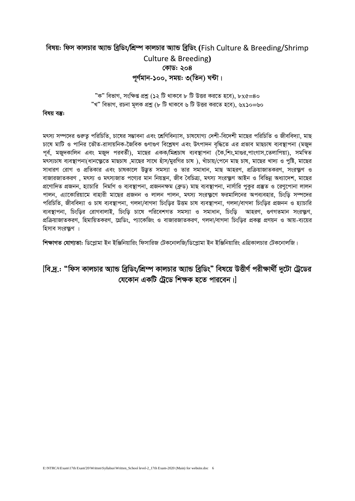## *welq: wdm KvjPvi A¨vÛ weªwWs/wkÖ¤ú KvjPvi A¨vÛ weªwWs* **(**Fish Culture & Breeding/Shrimp Culture & Breeding**)** *†KvW: 204* পূৰ্ণমান-১০০, সময়<u>:</u> ৩(তিন) ঘন্টা।

 $"$ ক" বিভাগ, সংক্ষিপ্ত প্রশ্ন (১২ টি থাকবে ৮ টি উত্তর করতে হবে), ৮x*৫=*8০ *ÓLÓ wefvM, iPbv g~jK cÖkœ (8 wU \_vK‡e 6 wU DËi Ki‡Z n‡e), 6*x*10=60*

#### *বিষয় বস্তু:*

*grm¨ m¤ú‡`i ¸iæZ¡ cwiwPwZ, Pv‡li m¤¢vebv Ges ‡kÖwYweb¨vm, Pvl‡hvM¨ †`kx-we‡`kx gv‡Qi cwiwPwZ I Rxewe`¨v, gvQ চা*যে মাটি ও পানির ভৌত-রাসায়নিক-জৈবিক গুণাগুণ বিশ্লেষণ এবং উৎপাদন বৃদ্ধিতে এর প্রভাব মাছচাষ ব্যবস্থাপনা (মজুদ *পূর্ব, মজুদকালিন এবং মজুদ পরবর্তী), মাছের একক/মিশ্র*চাষ *ব্যবস্থাপনা (কৈ,শিং,মাগুর,পাংগাস,তেলাপিয়া), সমন্বিত* মৎস্যচাষ ব্যবস্থাপনা(ধানক্ষ্ণুতে মাছচাষ ,মাছের সাথে হাঁস/মুরগির চাষ ), খাঁচায়/পেনে মাছ চাষ, মাছের খাদ্য ও পুষ্টি, মাছের সাধারণ রোগ ও প্রতিকার এবং চাষকালে উদ্ভত সমস্যা ও তার সমাধান, মাছ আহরণ, প্রক্রিয়াজাতকরণ, সংরক্ষ্ণ ও বাজারজাতকরণ , মৎস্য ও মৎস্যজাত পণ্যের মান নিয়ন্ত্রন, জীব বৈচিত্র্য, মৎস্য সংরক্ষ্ণণ আইন ও বিভিন্ন অধ্যাদেশ, মাছের *প্র*ণোদিত প্রজনন, হ্যাচারি নির্মাণ ও ব্যবস্থাপনা, প্রজননক্ষম (ব্রুড) মাছ ব্যবস্থাপনা, নার্সারি পুকর প্রস্তুত ও রেণুপোনা লালন *পালন, এ্যাকোরিয়ামে বাহারী মাছের প্রজনন ও লালন পালন, মৎস্য সংরক্ষণে ফরমালিনের অপব্যবহার, চিংডি সম্পদের প*রিচিতি, জীববিদ্যা ও চাষ ব্যবস্থাপনা, গলদা/বাগদা চিংড়ির উত্তম চাষ ব্যবস্থাপনা, গলদা/বাগদা চিংড়ির প্রজনন ও হ্যাচারি *ব্যবস্থাপ*না, চিংড়ির রোগবালাই, চিংড়ি চাষে পরিবেশগত সমস্যা ও সমাধান, চিংড়ি আহরণ, গুণগতমান সংরক্ষ্ণণ, *প্র*ক্রিয়াজাতকরণ, হিমায়িতকরণ, গ্রেডিং, প্যাকেজিং ও বাজারজাতকরণ, গলদা/বাগদা চিংডির প্রকল্প প্রণয়ন ও আয়-ব্যয়ের হিসাব সংরক্ষ্ণণ ।

 $\hat{\bm{r}}$ ক্ষাগ**ত** যোগ্যতা: ডিপ্লোমা ইন ইঞ্জিনিয়ারিং ফিসারিজ টেকনোলজি/ডিপ্লোমা ইন ইঞ্জিনিয়ারিং এগ্রিকালচার টেকনোলজি।

## $[$ বি.দ্ৰ.: "ফিস কালচার অ্যান্ড ব্ৰিডিং/শ্ৰিম্প কালচার অ্যান্ড ব্ৰিডিং" বিষয়ে উত্তীৰ্ণ পরীক্ষাৰ্থী দুটো ট্ৰেডের *(যকোন একটি টেডে শিক্ষক হতে পারবেন।।*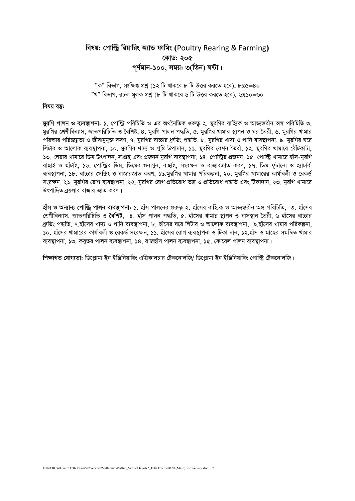## *welq: †cvwëª wiqvwis A¨vÛ dvwgs* **(**Poultry Rearing & Farming**)** *†KvW: 205 c~Y©gvb-100, mgq: 3(wZb) N›Uv|*

 $"$ ক" বিভাগ, সংক্ষিপ্ত প্রশ্ন (১২ টি থাকবে ৮ টি উত্তর করতে হবে), ৮x*৫=*8০ *ÓLÓ wefvM, iPbv g~jK cÖkœ (8 wU \_vK‡e 6 wU DËi Ki‡Z n‡e), 6*x*10=60*

#### *বিষয় বস্তু:*

*gyiwM cvjb I e¨e¯'vcbv: 1. †cvwëª cwiwPwZ I Gi A\_©‰bwZK ¸iæZ¡ 2. gyiwMi evwn¨K I Avf¨šÍixb A½ cwiwPwZ 3. মু*রগির শ্রেণীবিন্যাস, জাতপরিচিতি ও বৈশিষ্ট, ৪. মুরগি পালন পদ্ধতি, ৫. মুরগির খামার স্থাপন ও ঘর তৈরী, ৬. মুরগির খামার *প*রিস্কার পরিচ্ছন্নতা ও জীবানুমুক্ত করণ, ৭. মুরগির বাচ্চার ধ্রুডিং পদ্ধতি, ৮. মুরগির খাদ্য ও পানি ব্যবস্থাপনা, ৯. মুরগির ঘরে *লি*টার ও আলোক ব্যবস্থাপনা, ১০. মুরগির খাদ্য ও পৃষ্টি উপাদান, ১১. মুরগির রেশন তৈরী, ১২. মুরগির খামারে ঠোঁটকাটা, *13. †jqvi Lvgv‡i wWg Drcv`b, msMÖn Ges cÖRbb gyiwM e¨e¯'vcbv, 14. †cvwëªi cÖRbb, 15. †cvwëª Lvgv‡i nvum-gyiwM evQvB I QvuUvB, 16. †cvwëªi wWg, wW‡gi ¸bvMyb, evQvB, msiÿb I evRviRvZ KiY, 17. wWg dzUv‡bv I n¨vPvix e¨e¯'vcbv, 18. ev"Pvi †mw·s I evRviRvZ KiY, 19.gyiwMi Lvgvi cwiKíbv, 20. gyiwMi Lvgv‡ii Kvh©vejx I †iKW© সং*রক্ষন, ২১. মুরগির রোগ ব্যবস্থাপনা, ২২. মুরগির রোগ প্রতিরোধ তন্ত্র ও প্রতিরোধ পদ্ধতি এবং টিকাদান, ২৩. মুরগি খামারে উৎপাদিত বয়লার বাজার জাত করণ।

**হাঁস ও অন্যান্য পোল্টি পালন ব্যবস্থাপনা: ১**. হাঁস পালনের গুরুত ২. হাঁসের বাহ্যিক ও আভ্যন্তরীন অঙ্গ পরিচিতি, ৩. হাঁসের *†kÖYxweb¨vm, RvZcwiwPwZ I ˆewkó, 4. nvum cvjb c×wZ, 5. nvu‡mi Lvgvi ¯'vcb I evm¯'vb ˆZix, 6 nvu‡mi ev"Pvi*  .ধ্রুডিং পদ্ধতি ৭.হাঁসের খাদ্য ও পানি ব্যবস্থাপনা, ৮. হাঁসের ঘরে লিটার ও আলোক ব্যবস্থাপনা, ৯.হাঁসের খামার পরিকল্পনা,  $\overline{\phantom{a}}$ ১০. হাঁসের খামারের কার্যাবলী ও রেকর্ড সংরক্ষন, ১১. হাঁসের রোগ ব্যবস্থাপনা ও টিকা দান, ১২.হাঁস ও মাছের সমন্বিত খামার ব্যবস্থাপনা, ১৩. কবৃতর পালন ব্যবস্থাপনা, ১৪. রাজহাঁস পালন ব্যবস্থাপনা, ১৫. কোয়েল পালন ব্যবস্থাপনা।

 $\hat{\bm{r}}$ ক্ষাগত যোগ্যতা: ডিপ্লোমা ইন ইঞ্জিনিয়ারিং এগ্রিকালচার টেকনোলজি/ ডিপ্লোমা ইন ইঞ্জিনিয়ারিং পোল্টি টেকনোলজি।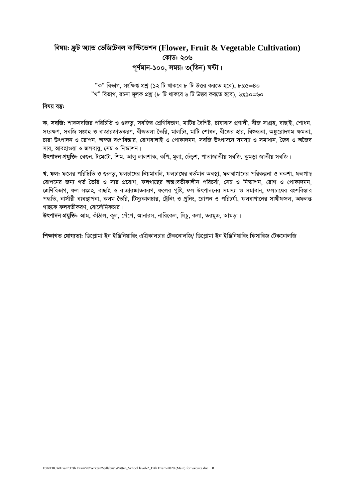## বিষয়: ফ্রুট অ্যান্ড ভেজিটেবল কাল্টিভেশন (Flower, Fruit & Vegetable Cultivation) কোড: ২০৬ পূর্ণমান-১০০, সময়: ৩(তিন) ঘন্টা।

"ক" বিভাগ, সংক্ষিপ্ত প্রশ্ন (১২ টি থাকবে ৮ টি উত্তর করতে হবে), ৮x৫=৪০ "খ" বিভাগ, রচনা মূলক প্রশ্ন (৮ টি থাকবে ৬ টি উত্তর করতে হবে), ৬x১০=৬০

#### বিষয় বস্তু:

ক, সবজি: শাকসবজির পরিচিতি ও গুরুত, সবজির শ্রেণিবিভাগ, মাটির বৈশিষ্ট, চাষাবাদ প্রণালী, বীজ সংগ্রহ, বাছাই, শোধন, সংরক্ষণ, সবজি সংগ্রহ ও বাজারজাতকরণ, বীজতলা তৈরি, মালচিং, মাটি শোধন, বীজের হার, বিশুদ্ধতা, অঙ্কুরোদগম ক্ষমতা, চারা উৎপাদন ও রোপন, অঙ্গজ বংশবিস্তার, রোগবালাই ও পোকাদমন, সবজি উৎপাদনে সমস্যা ও সমাধান, জৈব ও অজৈব সার, আবহাওয়া ও জলবায়, সেচ ও নিস্কাশন।

উৎপাদন প্রযুক্তি: বেগুন, টমেটো, শিম, আলু লালশাক, কপি, মূলা, ঢেঁড়শ, পাতাজাতীয় সবজি, কুমড়া জাতীয় সবজি।

খ, ফল: ফলের পরিচিতি ও গুরুতু, ফলচাষের নিয়মাবলি, ফলচাষের বর্তমান অবস্থা, ফলবাগানের পরিকল্পনা ও নকশা, ফলগাছ রোপনের জন্য গর্ত তৈরি ও সার প্রয়োগ, ফলগাছের অন্তঃবর্তীকালীন পরিচর্যা, সেচ ও নিস্কাশন, রোগ ও পোকাদমন, শ্রেণিবিভাগ, ফল সংগ্রহ, বাছাই ও বাজারজাতকরণ, ফলের পুষ্টি, ফল উৎপাদনের সমস্যা ও সমাধান, ফলচাষের বংশবিস্তার পদ্ধতি, নার্সারী ব্যবস্থাপনা, কলম তৈরি, টিস্যুকালচার, ট্রেনিং ও প্রনিং, রোপন ও পরিচর্যা, ফলবাগানের সাথীফসল, অফলন্ত গাছকে ফলবতীকরণ বোর্দোমিকচার।

উৎপাদন প্রযুক্তি: আম, কাঁঠাল, কূল, পেঁপে, আনারস, নারিকেল, লিচু, কলা, তরমুজ, আমড়া।

শিক্ষাগত যোগ্যতা: ডিপ্লোমা ইন ইঞ্জিনিয়ারিং এগ্রিকালচার টেকনোলজি/ ডিপ্লোমা ইন ইঞ্জিনিয়ারিং ফিসারিজ টেকনোলজি।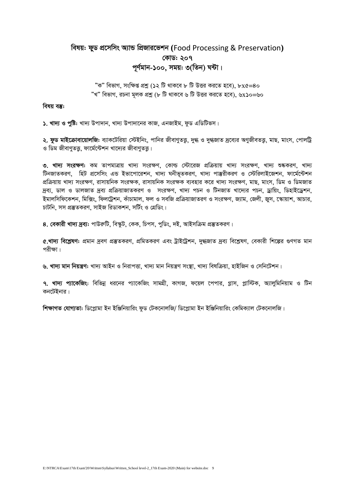## *welq: dyW cÖ‡mwms A¨vÛ wcÖRvi‡fkb* **(**Food Processing & Preservation**)** *†KvW: 207 c~Y©gvb-100, mgq: 3(wZb) N›Uv|*

 $"$ ক" বিভাগ<sub>-</sub> সংক্ষিপ্ত প্রশ্ন (১২ টি থাকবে ৮ টি উত্তর করতে হবে), ৮x৫=8০ *ÓLÓ wefvM, iPbv g~jK cÖkœ (8 wU \_vK‡e 6 wU DËi Ki‡Z n‡e), 6*x*10=60*

*বিষয় বস্তু:* 

১. খাদ্য ও পুষ্টি: খাদ্য উপাদান, খাদ্য উপাদানের কাজ, এনজাইম, ফুড এডিটিভস।

<mark>২. ফুড মাইক্রোবায়োলজি:</mark> ব্যাকটেরিয়া স্টেইনিং, পানির জীবাণুতত্ত, দুগ্ধ ও দুগ্ধজাত দ্রব্যের অণুজীবতত্ত, মাছ, মাংস, পোলট্টি ও ডিম জীবাণতত্ত, ফার্মেন্টেশন খাদ্যের জীবাণতত্ত।

৩. খাদ্য সংরক্ষণ: কম তাপমাত্রায় খাদ্য সংরক্ষণ, কোল্ড স্টোরেজ প্রক্রিয়ায় খাদ্য সংরক্ষণ, খাদ্য শুষ্ককরণ, খাদ্য *টি*নজাতকরণ, হিট প্রসেসিং এন্ড ইভাপোরেশন, খাদ্য ঘনীভূতকরণ, খাদ্য পাম্ভরীকরণ ও স্টেরিলাইজেশন, ফার্মেন্টেশন প্রক্রিয়ায় খাদ্য সংরক্ষণ, রাসায়নিক সংরক্ষক, রাসায়নিক সংরক্ষক ব্যবহার করে খাদ্য সংরক্ষণ, মাছ, মাংস, ডিম ও ডিমজাত *দ্রব্য, ডাল ও ডালজাত দ্রব্য প্রক্রিয়াজাতকরণ ও সংরক্ষণ, খাদ্য পচন ও টিনজাত খাদ্যের পচন, ড্রায়িং, ডিহাইড্রেশন,* ইমালসিফিকেশন, মিক্সিং, ফিলট্ৰেশন, কাঁচামাল, ফল ও সবজি প্ৰক্ৰিয়াজাতরণ ও সংরক্ষণ, জ্যাম, জেলী, জুস, স্কোয়াশ, আচার, *PvUwb, mm cÖ¯'ZKiY, mvBR wiWvKkb, mwU©s I †MÖwWs|*

 $8.$  বেকারী খাদ্য দ্রব্য: পাউরুটি, বিস্কুট, কেক, চিপস, পুডিং, দই, আইসক্রিম প্রস্তুতকরণ।

*6.*খাদ্য বিশ্লেষণ: প্রমান দ্রবণ প্রস্তুতকরণ, প্রমিতকরণ এবং ট্রাইট্রেশন, দুগ্ধজাত দ্রব্য বিশ্লেষণ, বেকারী শিল্পের গুণগত মান **পরীক্ষা।** 

৬. খাদ্য মান নিয়ন্ত্ৰণ: খাদ্য আইন ও নিরাপত্তা, খাদ্য মান নিয়ন্ত্রণ সংস্তা, খাদ্য বিষক্রিয়া, হাইজিন ও সেনিটেশন।

<mark>৭. খাদ্য প্যাকেজিং</mark>: বিভিন্ন ধরনের প্যাকেজিং সামগ্রী, কাগজ, ফয়েল পেপার, গ্লাস, প্লাস্টিক, অ্যালুমিনিয়াম ও টিন কনটেইনার।

 $\hat{r}$ ক্ষাগত যোগ্যতা: ডিপ্লোমা ইন ইঞ্জিনিয়ারিং ফুড টেকনোলজি/ ডিপ্লোমা ইন ইঞ্জিনিয়ারিং কেমিক্যাল টেকনোলজি।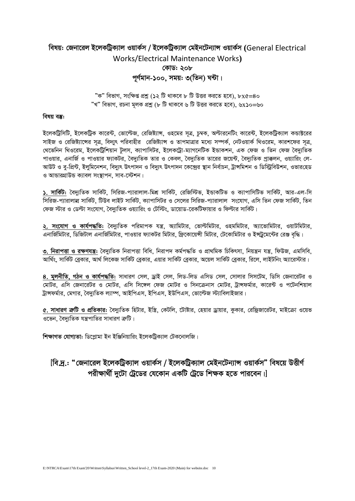## *welq: †Rbv‡ij B‡jKwUªK¨vj IqvK©m / B‡jKwUªK¨vj †gBb‡Ub¨vÝ IqvK©m* **(**General Electrical Works/Electrical Maintenance Works**)** *†KvW: 208* পূৰ্ণমান-১০০, সময়<u>:</u> ৩(তিন) ঘন্টা।

 $"$ ক" বিভাগ, সংক্ষিপ্ত প্রশ্ন (১২ টি থাকবে ৮ টি উত্তর করতে হবে), ৮x*৫=*8০ *ÓLÓ wefvM, iPbv g~jK cÖkœ (8 wU \_vK‡e 6 wU DËi Ki‡Z n‡e), 6*x*10=60*

#### *বিষয় বস্তু:*

ইলেকট্রিসিটি, ইলেকট্রিক কারেন্ট, ভোল্টেজ, রেজিষ্ট্যাঙ্গ, ওহমের সূত্র, চুম্বক, অল্টারনেটিং কারেন্ট, ইলেকট্রিক্যাল কন্ডাক্টরের সাইজ ও রেজিষ্ট্যান্সের সত্র, বিদ্যৎ পরিবাহীর রেজিষ্ট্যান্স ও তাপমাত্রার মধ্যে সম্পর্ক, নেটওয়ার্ক থিওরেম, কারশফের সত্র, *k*খভেনিন থিওরেম, ইলেকট্রিশিয়ান টুলস, ক্যাপাসিটর, ইলেকট্রো-ম্যাগনেটিক ইন্ডাকশন, এক ফেজ ও তিন ফেজ বৈদ্যুতিক পাওয়ার, এনার্জি ও পাওয়ার ফ্যাকটর, বৈদ্যুতিক তার ও কেবল, বৈদ্যুতিক তারের জয়েন্ট, বৈদ্যুতিক প্রাক্কলন, ওয়্যারিং লে-*আউট ও ব-প্ৰিন্ট, ইলমিনে*শন, বিদ্যুৎ উৎপাদন ও বিদ্যুৎ উৎপাদন কেন্দ্ৰের স্থান নিৰ্বাচন, ট্ৰান্সমিশন ও ডিস্টিবিউশন, ওভারহেড *ও* আভারগ্রাউন্ড ক্যাবল সংস্থাপন, সাব-স্টেশন।

 $\lambda$ . সার্কিট: বৈদ্যতিক সার্কিট, সিরিজ-প্যারালাল-মিশ্র সার্কিট, রেজিস্টিভ, ইন্ডাকটিভ ও ক্যাপাসিটিভ সার্কিট, আর-এল-সি *সি*রিজ-প্যারালাল্ল সার্কিট, টিউব লাইট সার্কিট, ক্যাপাসিটর ও সেলের সিরিজ-প্যারালাল সংযোগ, এসি তিন ফেজ সার্কিট, তিন *†dR ÷vi I †Wëv ms‡hvM, ˆe`y¨wZK Iq¨vwis I †Uw÷s, Wv‡qvW-‡iKwUdvqvi I wdëvi mvwK©U|*

২. সংযোগ ও কার্যপদ্ধতি: বৈদ্যুতিক পরিমাপক যন্ত্র, অ্যামিটার, ভোল্টমিটার, ওহমমিটার, অ্যাভোমিটার, ওয়াটমিটার, এনার্জিমিটার, ডিজিটাল এনার্জিমিটার, পাওয়ার ফ্যাকটর মিটার, ফ্রিকোয়েন্সী মিটার, টেকোমিটার ও ইন্স্ট্রমেন্টের রেঞ্জ বৃদ্ধি।

৩. **নিরাপত্তা ও রক্ষণযন্ত্র:** বৈদ্যুতিক নিরাপত্তা বিধি, নিরাপদ কর্মপদ্ধতি ও প্রাথমিক চিকিৎসা, নিয়ন্ত্রন যন্ত্র, ফিউজ, এমসিবি, আর্থিং, সার্কিট ব্রেকার, আর্থ লিকেজ সার্কিট ব্রেকার, এয়ার সার্কিট ব্রেকার, কারা, রুজ, কাইটনিং অ্যারেস্টার।

8. **মূলনীতি, গঠন ও কাৰ্যপদ্ধতি:** সাধারণ সেল, ড্ৰাই সেল, লিড-লিড এসিড সেল, সোলার সিসটেম, ডিসি জেনারেটর ও *†gvUi, Gwm †Rbv‡iUi I †gvUi, Gwm wm‡½j †dR †gvUi I wmb‡µbvm †gvUi, UªvÝdg©vi, Kv‡i›U I c‡Ubwkqvj*  ট্রাঙ্গফর্মার, মেগার, বৈদ্যুতিক ল্যাম্প, আইপিএস, ইপিএস, ইউপিএস, ভোল্টেজ স্ট্যাবিলাইজার।

*6.* সাধারণ ক্রটি ও প্রতিকার: বৈদ্যতিক হিটার, ইস্ত্রি, কেটলি, টৌষ্টার, হেয়ার ড্রায়ার, ককার, রেফ্রিজারেটর, মাইক্রো ওয়েভ *ও*ভেন, বৈদ্যুতিক যন্ত্ৰপাতির সাধারণ ক্ৰটি।

 $\frac{1}{2}$  **শিক্ষাগত যোগ্যতা:** ডিপ্লোমা ইন ইঞ্জিনিয়ারিং ইলেকট্রিক্যাল টেকনোলজি।

## *[বি.দ.: "জেনারেল ইলেকট্রিক্যাল ওয়ার্কস / ইলেকট্রিক্যাল মেইনটেন্যান্স ওয়ার্কস" বিষয়ে উত্তীর্ণ*  $\overline{r}$ পরীক্ষার্থী দুটো ট্রেডের যেকোন একটি ট্রেডে শিক্ষক হতে পারবেন।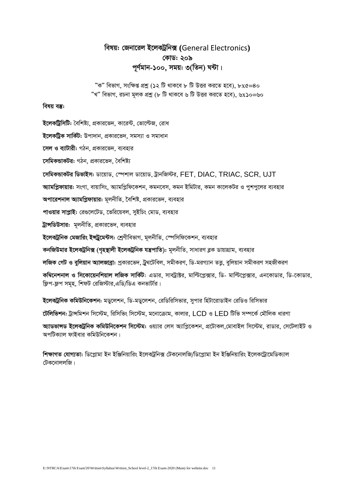## *welq: †Rbv‡ij B‡jKUªwb·* **(**General Electronics**)** *†KvW: 209 c~Y©gvb-100, mgq: 3(wZb) N›Uv|*

 $"$ ক" বিভাগ, সংক্ষিপ্ত প্রশ্ন (১২ টি থাকবে ৮ টি উত্তর করতে হবে), ৮x*৫=*8০ *ÓLÓ wefvM, iPbv g~jK cÖkœ (8 wU \_vK‡e 6 wU DËi Ki‡Z n‡e), 6*x*10=60*

#### *বিষয় বস্তু:*

*ই*লেকট্রিসিটি: বৈশিষ্ট্য, প্রকারভেদ, কারেন্ট, ভোল্টেজ, রোধ *ই*লেকট্ৰিক সাৰ্কিট: উপাদান, প্ৰকাৱভেদ, সমস্যা ও সমাধান *দেল ও ব্যাটারী: গঠন, প্রকারভেদ, ব্যবহার সেমিকভাকটর: গঠন, প্রকারভেদ, বৈশিষ্ট্য ‡mwgKÛvKUi wWfvBm: Wv‡qvW, †¯úkvj Wv‡qvW, UªvbwR÷i,* FET, DIAC, TRIAC*,* SCR, UJT *আ*মপ্লিফায়ার: সংগা, বায়াসিং, অ্যামপ্লিফিকেশন, কমনবেস, কমন ইমিটার, কমন কালেকটর ও পুশপুলের ব্যবহার *অপা*রেশনাল অ্যামপ্লিফায়ার: মুলনীতি, বৈশিষ্ট, প্রকারভেদ, ব্যবহার *প*াওয়ার সাপ্লাই: রেগুলেটেড, ভেরিয়েবল, সইচিং মোড, ব্যবহার *ট্রান্সডিউসার: মূলনীতি, প্রকারভেদ, ব্যবহার ইলেক*ট্ৰনিক মেজারিং ইন্সট্ৰুমেন্টস: শ্ৰেণীবিভাগ, মূলনীতি, স্পেসিফিকেশন, ব্যবহার *কন*জিউমার ইলেকট্রনিক্স (গৃহস্থালী ইলেকট্রনিক যন্ত্রপাতি): মূলনীতি, সাধারণ ব্লক ডায়াগ্রাম, ব্যবহার *লজিক গেট ও বুলিয়ান অ্যালজাব্রা: প্র*কারভেদ, ট্রথটেবিল, সমীকরণ, ডি-মরগ্যান ততু, বুলিয়ান সমীকরণ সহজীকরণ *Kw¤^‡bkbvj I wm‡Kv‡qbwkqvj jwRK mvwK©U: GWvi, mveUªv±i, gvwë‡cø·vi, wW- gvwë‡cø·vi, Gb‡KvWvi, wW-‡KvWvi,*   $\widehat{x}$ প-ফুপ সমহ, শিফট রেজিস্টার,এডি/ডিএ কনভার্টার। *B‡jKUªwbK KwgDwb‡Kkb: gWy‡jkb, wW-gWy‡jkb, †iwWwiwmfvi, mycvi wnUv‡ivWvBb †iwWI wiwmfvi টেলিভিশন: ট্রান্সমিশন সিস্টেম, রিসিভিং সিস্টেম, মনোক্রোম, কালার, LCD ও LED টিভি সম্পর্কে মৌলিক ধারণা A¨vWfvÝW B‡jKUªwbK KwgDwb‡Kkb wm‡÷g: Iq¨vi †jm A¨vwcø‡Kkb, cÖ‡UvKj,†gvevBj wm‡÷g, ivWvi, †m‡UjvBU I* 

অপটিক্যাল ফাইবার কমিউনিকেশন।

*শিক্ষাগত যোগ্যতা: ডিপ্লোমা ইন ইঞ্জিনিয়ারিং ইলেকট্রনিক্স টেকনোলজি/ডিপ্লোমা ইন ইঞ্জিনিয়ারিং ইলেকট্রোমেডিক্যাল (টক*নোললজি।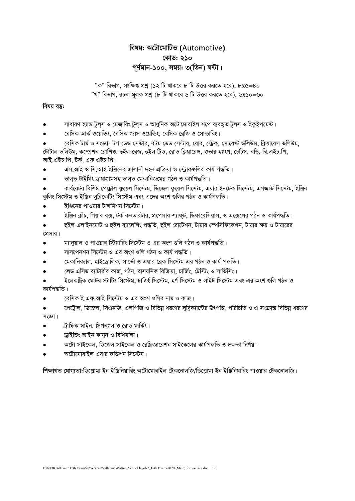## বিষয়: অটোমোটিভ (Automotive) কোড: ২১০ পূর্ণমান-১০০, সময়: ৩(তিন) ঘন্টা।

"ক" বিভাগ, সংক্ষিপ্ত প্রশ্ন (১২ টি থাকবে ৮ টি উত্তর করতে হবে), ৮x৫=৪০ "খ" বিভাগ, রচনা মূলক প্রশ্ন (৮ টি থাকবে ৬ টি উত্তর করতে হবে), ৬x১০=৬০

#### বিষয় বস্তু:

- সাধারণ হ্যান্ড টুল্স ও মেজারিং টুল্স ও আধুনিক অটোমোবাইল শপে ব্যবহৃত টুল্স ও ইকুইপমেন্ট।
- বেসিক আর্ক ওয়েল্ডিং, বেসিক গ্যাস ওয়েল্ডিং, বেসিক ব্রেজি ও সোল্ডারিং।

বেসিক টার্ম ও সংজ্ঞা- টপ ডেড সেন্টার, বটম ডেড সেন্টার, বোর, স্টেক, সোয়েপ্ট ভলিউম, ক্রিয়ারেন্স ভলিউম, টোটাল ভলিউম, কম্প্রেশন রোশিও, হুইল বেজ, হুইল ট্রিড, রোড ক্লিয়ারেন্স, ওভার হ্যাংগ, চেচিস, বডি, বি.এইচ.পি, আই.এইচ.পি. টৰ্ক. এফ.এইচ.পি।

- এস.আই ও সি.আই ইঞ্জিনের জ্বালানী দহন প্রক্রিয়া ও স্ট্রোকগুলির কার্য পদ্ধতি।
- ভালভ টাইমিং ড্ৰায়াগ্ৰামসহ ভালভ মেকানিজমের গঠন ও কাৰ্যপদ্ধতি।
- কার্ররেটর বিশিষ্ট পেট্রোল ফুয়েল সিস্টেম, ডিজেল ফুয়েল সিস্টেম, এয়ার ইনটেক সিস্টেম, এগজস্ট সিস্টেম, ইঞ্জিন কলিং সিস্টেম ও ইঞ্জিন লবিকেটিং সিস্টেম এবং এদের অংশ গুলির গঠন ও কার্যপদ্ধতি।
- ইঞ্জিনের পাওয়ার টান্সমিশন সিস্টেম।
- ইঞ্জিন ক্লাঁচ, গিয়ার বক্স, টর্ক কনভারটার, প্রপেলার শ্যাফ্ট, ডিফারেন্সিয়াল, ও এক্সেলের গঠন ও কার্যপদ্ধতি।
- হুইল এলাইনমেন্ট ও হুইল ব্যালেন্সিং পদ্ধতি, হুইল রোটেশন, টায়ার স্পেসিফিকেশন, টায়ার ক্ষয় ও টায়ারের প্রেসার।
- ম্যানুয়াল ও পাওয়ার স্টিয়ারিং সিস্টেম ও এর অংশ গুলি গঠন ও কার্যপদ্ধতি।
- সাসপেনশন সিস্টেম ও এর অংশ গুলি গঠন ও কার্য পদ্ধতি।
- মেকানিক্যাল, হাইড্রোলিক, সার্ভো ও এয়ার বেক সিস্টেম এর গঠন ও কার্য পদ্ধতি।
- লেড এসিড ব্যাটারীর কাজ, গঠন, রাসয়নিক বিক্রিয়া, চার্জিং, টেস্টিং ও সার্ভিসিং।
- ইলেকট্ৰিক মোটৱ স্টাটিং সিস্টেম, চাৰ্জিং সিস্টেম, হৰ্ণ সিস্টেম ও লাইট সিস্টেম এবং এর অংশ গুলি গঠন ও কাৰ্যপদ্ধতি।
- বেসিক ই এফ আই সিস্টেম ও এর অংশ গুলির নাম ও কাজ।
- পেট্রোল, ডিজেল, সিএনজি, এলপিজি ও বিভিন্ন ধরণের লুব্রিক্যান্টের উৎপত্তি, পরিচিতি ও এ সংক্রান্ত বিভিন্ন ধরণের সংজ্ঞা।
- ট্ৰাফিক সাইন, সিগন্যাল ও রোড মার্কিং।
- ড্ৰাইভিং আইন কানুন ও বিধিমালা।
- অটো সাইকেল, ডিজেল সাইকেল ও রেফিজারেশন সাইকেলের কার্যপদ্ধতি ও দক্ষতা নির্ণয়।
- অটোমোবাইল এয়ার কন্ডিশন সিস্টেম।

শিক্ষাগত যোগ্যতা:ডিপ্লোমা ইন ইঞ্জিনিয়ারিং অটোমোবাইল টেকনোলজি/ডিপ্লোমা ইন ইঞ্জিনিয়ারিং পাওয়ার টেকনোলজি।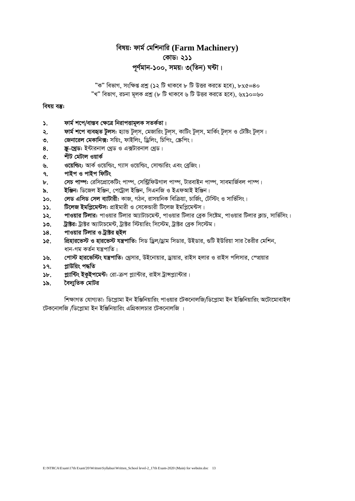## বিষয়: ফার্ম মেশিনারি (Farm Machinery) কোড: ২১১ পূর্ণমান-১০০, সময়: ৩(তিন) ঘন্টা।

"ক" বিভাগ, সংক্ষিপ্ত প্রশ্ন (১২ টি থাকবে ৮ টি উত্তর করতে হবে), ৮x৫=৪০ "খ" বিভাগ, রচনা মূলক প্রশ্ন (৮ টি থাকবে ৬ টি উত্তর করতে হবে), ৬x১০=৬০

#### বিষয় বস্তু:

- ফাৰ্ম শপে/বাস্তব ক্ষেত্ৰে নিৱাপত্তামূলক সতৰ্কতা।  $\mathbf{S}$
- ফাৰ্ম শপে ব্যবহৃত টুলস: হ্যান্ড টুলস, মেজারিং টুলস, কাটিং টুলস, মাৰ্কিং টুলস ও টেষ্টিং টুলস। ২.
- জেনারেল মেকানিক্স: সয়িং, ফাইলিং, ড্রিলিং, চিপিং, স্ক্রেপিং।  $\mathcal{O}$ .
- স্ক্র-থেড: ইন্টারনাল থেড ও এক্সটারনাল থেড। 8.
- শীট মেটাল ওয়ার্ক ¢.
- ওয়েল্ডিং: আর্ক ওয়েল্ডিং, গ্যাস ওয়েল্ডিং, সোল্ডারিং এবং ব্রেজিং। ৬.
- পাইপ ও পাইপ ফিটিং ٩.
- সেচ পাম্প: রেসিপ্রোকেটিং পাম্প, সেন্টিফিউগাল পাম্প, টারবাইন পাম্প, সাবমার্জিবল পাম্প। ৮.
- ইঞ্জিন: ডিজেল ইঞ্জিন, পেট্ৰোল ইঞ্জিন, সিএনজি ও ইএফআই ইঞ্জিন। ৯.
- লেড এসিড সেল ব্যাটারী: কাজ, গঠন, রাসয়নিক বিক্রিয়া, চার্জিং, টেস্টিং ও সার্ভিসিং।  $\mathsf{S}$ .
- **টিলেজ ইমপ্তিমেন্টস:** প্রাইমারী ও সেকেন্ডারী টিলেজ ইমপ্রিমেন্টস।  $55.$
- পাওয়ার টিলার: পাওয়ার টিলার আ্যাটাচমেন্ট, পাওয়ার টিলার ব্রেক সিষ্টেম, পাওয়ার টিলার ক্লাচ, সার্ভিসিং। ১২.
- ট্রাক্টর: ট্রাক্টর অ্যাটাচমেন্ট, ট্রাক্টর স্টিয়ারিং সিস্টেম, ট্রাক্টর ব্রেক সিস্টেম।  $50.$
- পাওয়ার টিলার ও ট্রাক্টর হুইল  $38.$
- প্রিহারভেস্ট ও হারভেস্ট যন্ত্রপাতি: সিড ড্রিল/ড্রাম সিডার, উইডার, গুটি ইউরিয়া সার তৈরীর মেশিন, SG. ধান-গম কৰ্তন যন্ত্ৰপাতি।
- পোস্ট হারভেস্টিং যন্ত্রপাতি: থেসার, উইনোয়ার, ড্রায়ার, রাইস হলার ও রাইস পলিসার, স্প্রেয়ার  $56.$
- প্ৰাউয়িং পদ্ধতি  $39.$
- প্ল্যান্টিং ইকুইপমেন্ট: রো-ক্রপ প্ল্যান্টার, রাইস ট্রান্সপ্ল্যান্টার।  $\mathcal{F}$ .
- বৈদ্যুতিক মোটর  $\delta$ .

শিক্ষাগত যোগ্যতা: ডিপ্লোমা ইন ইঞ্জিনিয়ারিং পাওয়ার টেকনোলজি/ডিপ্লোমা ইন ইঞ্জিনিয়ারিং অটোমোবাইল টেকনোলজি /ডিপ্লোমা ইন ইঞ্জিনিয়ারিং এগ্রিকালচার টেকনোলজি ।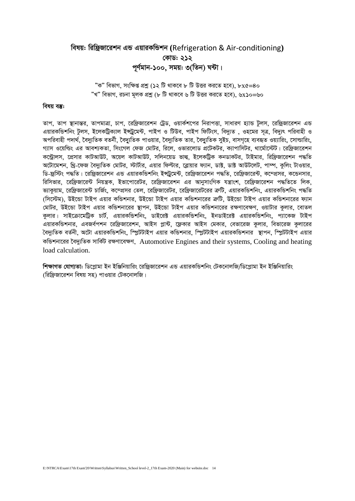## বিষয়: রিষ্ক্রিজারেশন এন্ড এয়ারকন্ডিশন (Refrigeration & Air-conditioning) কোড: ২১২ পূর্ণমান-১০০, সময়: ৩(তিন) ঘন্টা।

"ক" বিভাগ, সংক্ষিপ্ত প্রশ্ন (১২ টি থাকবে ৮ টি উত্তর করতে হবে), ৮x৫=৪০ "খ" বিভাগ, রচনা মূলক প্রশ্ন (৮ টি থাকবে ৬ টি উত্তর করতে হবে), ৬x১০=৬০

#### বিষয় বস্তু:

তাপ, তাপ স্থানান্তর, তাপমাত্রা, চাপ, রেফ্রিজারেশন ট্রেড, ওয়ার্কশপের নিরাপত্তা, সাধারণ হ্যান্ড টলস, রেফ্রিজারেশন এন্ড এয়ারকভিশনিং টুলস, ইলেকট্রিক্যাল ইন্সট্রমেন্ট, পাইপ ও টিউব, পাইপ ফিটিংস, বিদ্যুত , ওহমের সত্র, বিদ্যুৎ পরিবাহী ও অপরিবাহী পদার্থ, বৈদ্যুতিক বতর্নী, বৈদ্যুতিক পাওয়ার, বৈদ্যুতিক তার, বৈদ্যুতিক সুইচ, বাসগহে ব্যবহৃত ওয়্যারিং, সোন্ডারিং, গ্যাস ওয়েল্ডিং এর আবশ্যকতা, সিংগেল ফেজ মোটর, রিলে, ওভারলোড প্রটেকটর, ক্যাপাসিটর, থার্মোস্টেট। রেফ্রিজারেশন কন্ট্রোলস, প্রেসার কাটআউট, অয়েল কাটআউট, সলিনয়েড ভাল্ব, ইলেকট্রিক কনডাকটর, টাইমার, রিফ্রিজারেশন পদ্ধতি অটোমেশন, থ্রি-ফেজ বৈদ্যতিক মোটর, স্টার্টার, এয়ার ফিল্টার, ব্রোয়ার ফ্যান, ডাক্ট, ডাক্ট আউটলেট, পাম্প, কলিং টাওয়ার, ডি-ফ্রস্টিং পদ্ধতি। রেফ্রিজারেশন এন্ড এয়ারকন্ডিশনিং ইন্দ্রমেন্ট, রেফ্রিজারেশন পদ্ধতি, রেফ্রিজারেন্ট, কম্প্রসর, কন্ডেনসার, রিসিভার, রেফ্রিজারেন্ট নিয়ন্ত্রক, ইভাপোরেটর, রেফ্রিজারেশন এর আনসাংগিক যন্ত্রাংশ, রেফ্রিজারেশন পদ্ধতিতে লিক, ভ্যাকুয়াম, রেফ্রিজারেন্ট চার্জিং, কম্প্রেসর তেল, রেফ্রিজারেটর, রেফ্রিজারেটরের ক্রটি, এয়ারকন্ডিশনিং পদ্ধ বিভি (সিস্টেম), উইন্ডো টাইপ এয়ার কভিশনার, উইন্ডো টাইপ এয়ার কভিশনারের ক্রটি, উইন্ডো টাইপ এয়ার কভিশনারের ফ্যান মোটর, উইন্ডো টাইপ এয়ার কন্ডিশনারের স্থাপন, উইন্ডো টাইপ এয়ার কন্ডিশনারের রক্ষণাবেক্ষণ, ওয়াটার কলার, বোতল কলার। সাইক্রোমেট্রিক চার্ট, এয়ারকভিশনিং, ডাইরেক্ট এয়ারকভিশনিং, ইনডাইরেক্ট এয়ারকভিশনিং, প্যাকেজ টাইপ এয়ারকভিশনার, এবজর্বপশন রেফ্রিজারেশন, আইস প্লান্ট, ফ্লেকার আইস মেকার, বেভারেজ কুলার, বিভারেজ কুলারের বৈদ্যুতিক বর্তনী, অটো এয়ারকন্ডিশনিং, স্প্লিটটাইপ এয়ার কন্ডিশনার, স্প্লিটটাইপ এয়ারকন্ডিশনার স্থাপন, স্প্লিটটাইপ এয়ার কভিশনারের বৈদ্যুতিক সার্কিট রক্ষণাবেক্ষণ, Automotive Engines and their systems, Cooling and heating load calculation.

শিক্ষাগত যোগ্যতা: ডিপ্লোমা ইন ইঞ্জিনিয়ারিং রেফ্রিজারেশন এন্ড এয়ারকন্ডিশনিং টেকনোলজি/ডিপ্লোমা ইন ইঞ্জিনিয়ারিং (রিফ্রিজারেশন বিষয় সহ) পাওয়ার টেকনোলজি।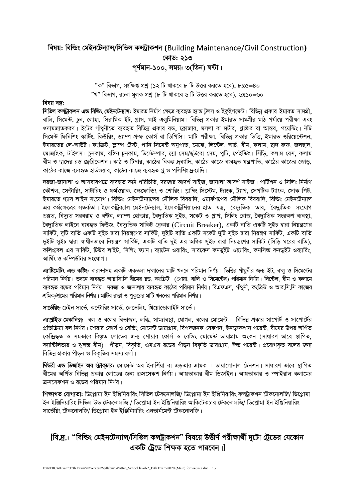## *welq: wewìs †gBb‡Ub¨vÝ/wmwfj KÝUªvKkb* **(**Building Maintenance/Civil Construction**)** *†KvW: 213* পূৰ্ণমান-**১**০০, সময়: ৩(তিন) ঘন্টা।

 $"$ ক" বিভাগ, সংক্ষিপ্ত প্রশ্ন (১২ টি থাকবে ৮ টি উত্তর করতে হবে), ৮x*৫=*8০ *ÓLÓ wefvM, iPbv g~jK cÖkœ (8 wU \_vK‡e 6 wU DËi Ki‡Z n‡e), 6*x*10=60*

#### *বিষয বস্তু:*

*সিভি*ল কন্সটাকশন এন্ড বিল্ডিং মেইনটেন্যান্স: ইমারত নির্মাণ ক্ষেত্রে ব্যবহৃত হ্যান্ড টলস ও ইকুইপমেন্ট। বিভিন্ন প্রকার ইমারত সামগ্রী, বালি, সিমেন্ট, চুন, লোহা, সিরামিক ইট, গ্লাস, থাই এলুমিনিয়াম। বিভিন্ন প্রকার ইমারত সামগ্রীর মাঠ পর্যায়ে পরীক্ষা এবং গুদামজাতকরণ। ইটের গাঁথুনীতে ব্যবহৃত বিভিন্ন প্রকার বন্ড, ক্লোজার, মসলা বা মর্টার, প্লাষ্টার বা আস্তর, পয়েন্টিং। নীট *সি*মেন্ট ফিনিশিং স্কার্টিং, কিউরিং, ড্যাম্প প্রুফ কোর্স বা ডিপিসি। মাটি পরীক্ষা, বিভিন্ন প্রকার ভিত্তি, ইমারত ওরিয়েন্টেশন, ইমারতের লে-আউট। কংক্রিট, স্লাম্প টেস্ট, পানি সিমেন্ট অনুপাত, মেঝে, লিন্টেল, আর্চ, বীম, কলাম, ছাদ রুফ, জলছাদ, *‡gvRvBK, UvBjm| PzbKvg, iw½b PzbKvg, wW‡÷¤úvi, ‡mœv-†mg/WyD‡iv †mg, cywU, ‡cBw›Us| wmuwo, Kjvg †em, Kjvg বীম ও ছাদের রড ফ্রেব্রিকে*শন। কাঠ ও টিম্বার, কাঠের বিকল্প দ্রব্যাদি, কাঠের কাজে ব্যবহৃত যন্ত্রপাতি, কাঠের কাজের জোড, কাঠের কাজে ব্যবহৃত হার্ডওয়ার, কাঠের কাজে ব্যবহৃত গ্ল<sup>8</sup> ও পলিশিং দ্রব্যাদি।

*দ*রজা-জানালা ও আসবাবপত্রে ব্যবহৃত কাঠ পরিচিতি, দরজার আদর্শ সাইজ, জানালা আদর্শ সাইজ। পার্টিশন ও সিলিং নির্মাণ *‡KŠkj, ‡m›Uvwis, mvUvwis I dg©IqvK, ‡¯‹‡dvwìs I †kvwis| cøvw¤^s wm‡÷g, U¨vsK, Uª¨vc, ‡mcwUK U¨vsK, ‡mvK wcU,*  ইমারতে গ্যাস লাইন সংযোগ। বিল্ডিং মেইনটেন্যান্সের মৌলিক বিষয়াদি, ওয়ার্কশপের মৌলিক বিষয়াদি, বিল্ডিং মেইনটেন্যান্স এর কর্মক্ষেত্রের সতর্কতা। ইলেকট্রিক্যাল মেইনটেন্যান্স, ইলেকট্রিশিয়ানের হাত যন্ত্র, বৈদ্যুতিক তার, বৈদ্যুতিক সংযোগ *cÖ¯'Z, we`y¨Z mieivn I eÈb, j¨v¤ú †nvìvi, ‰e`y¨wZK myBP, m‡KU I cøvM, wmwjs †ivR, ‰e`y¨wZK msiÿY e¨e¯'v, ‰e`y¨wZK jvB‡b e¨eüZ wdDR, ‰e`y¨wZK mvwKU †eªKvi* (Circuit Breaker), *GKwU evwZ GKwU myBP Øviv wbqš¿‡Yi*  সার্কিট, দুটি বাতি একটি সুইচ দ্বারা নিয়ন্ত্রণের সার্কিট, দুইটি বাতি একটি সকেট দুটি সুইচ দ্বারা নিয়ন্ত্রণ সার্কিট, একটি বাতি *দুই*টি সুইচ দ্বারা স্বাধীনভাবে নিয়ন্ত্রণ সার্কিট, একটি বাতি দুই এর অধিক সুইচ দ্বারা নিয়ন্ত্রণের সার্কিট (সিডি ঘরের বাতি). কলিংবেল এর সার্কিট, টিউব লাইট, সিলিং ফ্যান। ব্যাটেন ওয়ারিং, সারফেস কনডুইট ওয়্যারিং, কনসিল্ড কনডুইট ওয়্যারিং, আর্থিং ও কম্পিউটার সংযোগ।

**এ্যাষ্টিমেটিং এন্ড কষ্টিং:** বারান্দাসহ একটি একতলা দালানের মাটি খননে পরিমান নির্ণয়। ভিত্তির গাঁথুনীর জন্য ইট, বালু ও সিমেন্টের পরিমান নির্ণয়। ভবনে ব্যবহৃত আর.সি.সি বীমের রড, কংক্রিট (খোয়া, বালি ও সিমেন্টের) পরিমান নির্ণয়। লিন্টেল, বীম ও কলামে *ব্যবহৃত রডের পরিমান নির্ণয়। দরজা ও জানালায় ব্যবহৃত কাঠের পরিমান নির্ণয়। বিএফএস, গাঁথনী, কংক্রিট ও আর.সি.সি কাজের শ্র*মিক/শ্রমের পরিমান নির্ণয়। মাটির রাস্তা ও পুকুরের মাটি খননের পরিমান নির্ণয়।

**সার্ভেয়িং: চেইন** সার্ভে, কন্টোরিং সার্ভে, লেভেলিং, থিয়োডোলাইট সার্ভে।

*এ্যাপ্লাইড মেকানিক্স: বল ও বলের বিভাজন, লব্ধি, সাম্যাবস্থা, যোগল, বলের মোমেন্ট। বিভিন্ন প্রকার সাপোর্ট ও সাপোর্টের* প্রতিক্রিয়া বল নির্ণয়। শেয়ার ফোর্স ও বেন্ডিং মোমেন্ট ডায়াগ্রাম, বিপদজনক সেকশন, ইনফ্লেকশান পয়েন্ট, বীমের উপর অর্পিত *কেন্দ্রি*ছত ও সমভাবে বিস্তৃত লোডের জন্য শোয়ার ফোর্স ও বেন্ডিং মোমেন্ট ডায়াগ্রাম অংকন (সাধারণ ভাবে স্থাপিত, ক্যান্টিলিভার ও ঝুলন্ত বীম)। পীড়ন, বিকৃতি, এমএস রডের পীড়ন বিকৃতি ডায়াগ্রাম, ঈল্ড পয়েন্ট। প্রয়োগকৃত বলের জন্য *বি*ভিন্ন প্রকার পীড়ন ও বিকৃতির সমস্যাবলী।

**থিউরী এন্ড ডিজাইন অব স্ট্রাকচার: মোমেন্ট** অব ইনার্শিয়া বা জড়তার ভ্রামক । ডায়াগোনাল টেনশন। সাধারণ ভাবে স্থাপিত বীমের অর্পিত বিভিন্ন প্রকার লোডের জন্য ক্রসসেকশ নির্ণয়। আয়তাকার বীম ডিজাইন। আয়তাকার ও স্পাইরাল কলামের  $\overline{a}$ সসেকশন ও রডের পরিমান নির্ণয়।

*শিক্ষাগত যোগ্যতা: ডিপ্লোমা ইন ইঞ্জিনিয়ারিং সিভিল টেকনোলজি/ ডিপ্লোমা ইন ইঞ্জিনিয়ারিং কন্ট্রাকশন টেকনোলজি/ ডিপ্লোমা ইন ইঞ্জিনিয়ারিং সিভিল উড টেকনোলজি / ডিপ্লোমা ইন ইঞ্জিনিয়ারিং আকিটেকচার টেকনোলজি/ ডিপ্লোমা ইন ইঞ্জিনিয়ারিং mv‡f©wqs ‡UK‡bvjwR/ wW‡cøvgv Bb BwÄwbqvwis Gbfvb©‡g›U ‡UK‡bvjwR|*

## *[বি.দ্ৰ.: "বিল্ডিং মেইনটেন্যান্স/সিভিল কন্দ্ৰীকশন" বিষয়ে উত্তীৰ্ণ পরীক্ষার্থী দুটো ট্ৰেডের যেকোন* একটি টেডে শিক্ষক হতে পারবেন।।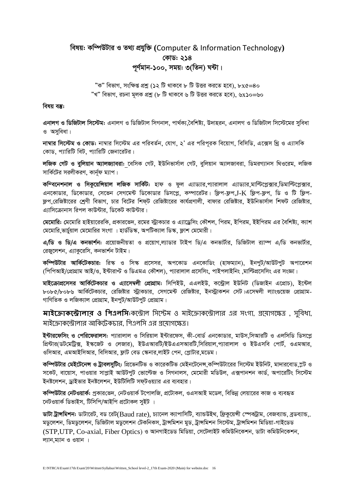## বিষয়: কম্পিউটার ও তথ্য প্রযুক্তি (Computer & Information Technology) কোড: ২১৪ পূর্ণমান-১০০, সময়: ৩(তিন) ঘন্টা।

"ক" বিভাগ, সংক্ষিপ্ত প্রশ্ন (১২ টি থাকবে ৮ টি উত্তর করতে হবে), ৮x৫=৪০ "খ" বিভাগ, রচনা মূলক প্রশ্ন (৮ টি থাকবে ৬ টি উত্তর করতে হবে), ৬x১০=৬০

#### বিষয় বস্তু:

এনালগ ও ডিজিটাল সিস্টেম: এনালগ ও ডিজিটাল সিগনাল, পার্থক্য,বৈশিষ্ট্য, উদাহরন, এনালগ ও ডিজিটাল সিস্টেমের সুবিধা ও অসুবিধা।

নাম্বার সিস্টেম ও কোড: নাম্বার সিস্টেম এর পরিবর্তন, যোগ, ২' এর পরিপরক বিয়োগ, বিসিডি, এক্সেস থ্রি ও এ্যাসকি কোড, প্যারিটি বিট, প্যারিটি জেনারেটর।

লজিক গেট ও বুলিয়ান অ্যালজ্যাবরা: বেসিক গেট, ইউনিভার্সাল গেট, বুলিয়ান অ্যালজাবরা, ডিমরগ্যানস থিওরেম, লজিক সার্কিটের সরলীকরণ, কার্নৃফ ম্যাপ।

কম্বিনেশনাল ও সিকুয়েন্সিয়াল লজিক সার্কিট: হাফ ও ফুল এ্যাড্যার,প্যারালাল এ্যাড্যার,মাল্টিপ্লেক্সার,ডিমাল্টিপ্লেক্সার, এনকোডার, ডিকোডার, সেভেন সেগমেন্ট ডিকোডার ডিসপ্লে, কম্পারেটর। ফ্লিপ-ফ্লপ, LK ফ্লিপ-ফ্রপ, ডি ও টি ফ্লিপ-ফ্লপ রেজিষ্টারের শ্রেণী বিভাগ, চার বিটের শিফ্ট রেজিষ্টারের কার্যপ্রণালী, বাফার রেজিষ্টার, ইউনিভার্সাল শিফট রেজিষ্টার, এ্যাসিক্রোনাস রিপল কাউন্টার, ডিকেট কাউন্টার।

মেমোরি: মেমোরি হাইয়ারেরকি, প্রকারভেদ, রমের স্ট্রাকচার ও এ্যাড্রেসিং কৌশল, পিরম, ইপিরম, ইইপিরম এর বৈশিষ্ট্য, ক্যাশ মেমোরি ভার্চুয়াল মেমোরির সংগা । হার্ভডিস্ক, অপটিক্যাল ডিস্ক, ফ্লাশ মেমোরী।

এ/ডি ও ডি/এ কনভার্শন: প্রয়োজনীয়তা ও প্রয়োগ,ল্যাডার টাইপ ডি/এ কনভার্টার, ডিজিটাল র্যাম্প এ/ডি কনভার্টার, রেজ্রলেশন, এ্যাকুরেসি, কনভার্শন টাইম।

কম্পিউটার আর্কিটেকচার: রিস্ক ও সিস্ক প্রসেসর, অপকোড এনকোডিং (হাফম্যান), ইনপুট/আউটপুট অপারেশন (পিপিআই/প্রোগ্রাম আই/ও, ইন্টারাপ্ট ও ডিএমএ কৌশল), প্যারালাল প্রসেসিং, পাইপলাইনিং মাল্টিপ্রসেসিং এর সংজ্ঞা।

মাইক্রোপ্রসেসর আর্কিটেকচার ও এ্যাসেম্বলী প্রোগ্রাম: সিপিইউ, এএলইউ, কন্ট্রোল ইউনিট (ডিজাইন এপ্রোচ), ইন্টেল ৮০৮৫/৮০৮৬ আর্কিটেকচার, রেজিষ্টার স্ট্রাকচার, সেগমেন্ট রেজিষ্টার, ইনস্ট্রাকশন সেট।এসেম্বলী ল্যাংগুয়েজ প্রোগ্রাম-গাণিতিক ও লজিক্যাল প্রোগ্রাম, ইনপুট/আউটপুট প্রোগ্রাম।

**মাইক্রোকস্টোলার ও পিএলসি**:কস্টোল সিস্টেম ও মাইক্রোকস্টোলার এর সংগা, প্রয়োগক্ষেত্র , সবিধা, মাইক্রোকন্ট্রোলার আকিটেকচার, পিএলসি এর প্রযোগক্ষেত্র।

ইন্টারফেসিং ও পেরিফেরালস: প্যারালাল ও সিরিয়াল ইন্টারফেস, কী-বোর্ড এনকোডার, মাউস,সিআরটি ও এলসিডি ডিসপ্লে প্রিন্টার(ডটমেট্রিক্স, ইস্কজেট ও লেজার), ইউএআরটি/ইউএএসআরটি,সিরিয়াল,প্যারালাল ও ইউএসবি পোর্ট, ওএমআর, ওসিআর, এমআইসিআর, বিসিআর, ফ্লাট বেড স্কেনার,লাইট পেন, প্লোটার,মডেম।

কম্পিউটার মেইটেনেন্স ও ট্রাবলসুটিং: প্রিভেনটিভ ও কারেকটিভ মেইনটেনেস কম্পিউটারের সিস্টেম ইউনিট, মাদারবোড,স্লট ও সকেট, বায়োস, পাওয়ার সাপ্লাই আউটপুট ভোল্টেজ ও সিগনালস, মেমোরী মডিউল, এক্সপানশন কার্ড, অপারেটিং সিস্টেম ইনষ্টলেশন, ড্রাইভার ইনষ্টলেশন, ইউটিলিটি সফটওয়্যার এর ব্যবহার।

কম্পিউটার নেটওয়ার্ক: প্রকারভেদ, নেটওয়ার্ক টপোলজি, প্রটোকল, ওএসআই মডেল, বিভিন্ন লেয়ারের কাজ ও ব্যবহৃত নেটওয়ার্ক ডিভাইস, টিসিপি/আইপি প্রটোকল সুইট ।

ডাটা ট্রান্সমিশন: ডাটারেট, বড রেট(Baud rate), চ্যানেল ক্যাপাসিটি, ব্যান্ডউইথ, ফ্রিকয়েঙ্গী স্পেকট্রাম, বেজব্যান্ড, ব্রডব্যান্ড, মডুলেশন, ডিমডুলেশন, ডিজিটাল মডুলেশন টেকনিকস, ট্রান্সমিশন মুড, ট্রান্সমিশন সিস্টেম, ট্রান্সমিশন মিডিয়া-গাইডেড (STP,UTP, Co-axial, Fiber Optics) ও আনগাইডেড মিডিয়া, সেটেলাইট কমিউনিকেশন, ডাটা কমিউনিকেশন, ল্যান,ম্যান ও ওয়ান ।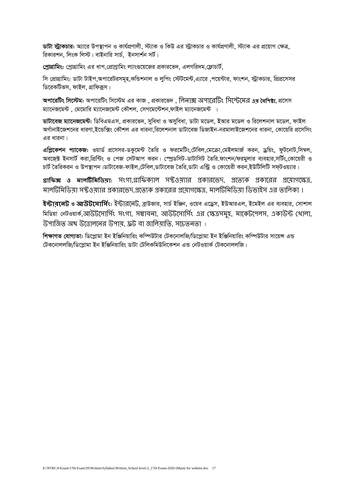*ডাটা স্ট্রাকচার: অ্যারে উপস্থাপন ও কার্যপ্রণালী, স্ট্যাক ও কিউ এর স্ট্রাকচার ও কার্যপ্রণালী, স্ট্যাক এর প্রয়োগ ক্ষেত্র, ৱিকাৱশন, লিংক লিস্ট। বাইনাৱি সার্চ, ইনসার্শন সর্ট।* 

*†cªvMÖvwgs: †cªvMÖvwgs Gi avc,†cÖvMªvwgs j¨vs¸‡q‡Ri cÖKvi‡f`, GjMwi`g,†d¬vPvU©,* 

সি প্রোগ্রামিং: ডাটা টাইপ,অপারেটরসমহ,কন্ডিশনাল ও লপিং স্টেটমেন্ট,এ্যারে ,পয়েন্টার, ফাংশন, স্ট্রাকচার, প্রিপ্রসেসর  $\sqrt{w}$ রেকটিভস, ফাইল, গ্রাফিক্রস।

*Acv‡iwUs wm‡÷g: Acv‡iwUs wm‡÷g Gi KvR , cÖKvi‡f` ,* সলনোক্স অিোন্ট্রটং সিন্ট্েন্ট্মর **এর বৈপিষ্ট্য***, cÖ‡mm*   $\frac{1}{2}$ য়ানেজমেন্ট , মেমোরি ম্যানেজমেন্ট কৌশল, সেগমেন্টেশন,ফাইল ম্যানেজমেন্ট ।

*ডাটাবেজ ম্যানেজমেন্ট: ডিবিএমএস, প্রকারভেদ, সবিধা ও অসুবিধা, ডাটা মডেল, ইআর মডেল ও রিলেশনাল মডেল, ফাইল AM©vbvB‡Rk‡bi aviYv,B‡Ûw·s †KŠkj Gi avibv,wi‡jkbvj WvUv‡eR wWRvBb-bigvjvB‡Rk‡bi avibv, †Kv‡qwi cÖ‡mwms*  এর ধারনা।

*এপ্লিকেশন প্যাকেজ: ওয়ার্ড প্রসেসর-ডকুমেন্ট তৈরি ও ফরমেটিং,টেবিল,মেক্রো,মেইলমার্জ করন, ড্রয়িং, ফুটনোট,সিম্বল, Ae‡R&± BbmvU© Kiv,wcÖw›Us I †cR †mUAvc Kib| †¯úªWwmU-WvUvwmU ˆZwi.dvskb/digyjvi e¨envi,mwU©s,†Kv‡qix I PvU© ˆZwiKib I Dc¯'vcb|WvUv‡eR-dvBj,†Uwej,WvUv‡eR ˆZwi,WvUv Gw›Uª I †Kv‡qix Kib,BDwUwjwU md&UIq¨vi|*

**গ্রাপিক্স ও মালটিপমপিয়া:** িংগো*,*গ্রোসিকযোল িফ্টও যোর প্রকোরন্ট্েদ*,* প্রন্ট্যযক প্রকোন্ট্রর প্রন্ট্ োগন্ট্েত্র*,*  মালটিমিডিয়া সফ্টওয়্যার প্রকারভেদ,প্রভ্যেক প্রকারের প্রযোগক্ষেত্র, মালটিমিডিয়া ডিভাইস এর তালিকা ।

**ইন্টার্নেট ও <b>আউটসোর্সিং**: ইন্টার্নেট, ব্রাউজার, সার্চ ইঞ্জিন, ওয়েব এড্রেস, ইউআরএল, ইমেইল এর ব্যবহার, সোশাল *wgwWqv †bUIqvK©,*আউেন্ট্িোসিসং িংগো*,* িম্ভোিনো*,* আউেন্ট্িোসিসং এর ক্ষেত্রিমুহ*,* মোন্ট্কেন্ট্িলি*,* একোউন্ট ক্ষ োলো*,*  উপাজিত অথ উত্তোলনের উপায, ফ্রট বা জালিযাতি, সচেতনতা ।

*শিক্ষাগত যোগ্যতা: ডিপ্লোমা ইন ইঞ্জিনিয়ারিং কম্পিউটার টেকনোলজি/ডিপ্লোমা ইন ইঞ্জিনিয়ারিং কম্পিউটার সায়েন্স এন্ড টে*কনোললজি/ডিপ্লোমা ইন ইঞ্জিনিয়ারিং ডাটা টেলিকমিউনিকেশন এন্ড নেটওয়ার্ক টেকনোললজি।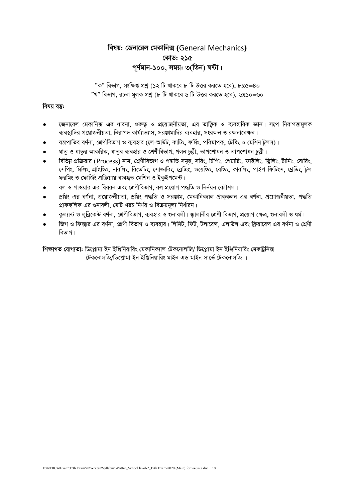## *welq: †Rbv‡ij †gKvwb·* **(**General Mechanics**)** *†KvW: 215* পূৰ্ণমান-১০০, সময়: ৩(**তিন) ঘন্টা**।

 $"$ ক" বিভাগ, সংক্ষিপ্ত প্রশ্ন (১২ টি থাকবে ৮ টি উত্তর করতে হবে), ৮x*৫=*8০  $^{\prime\prime}$ খ" বিভাগ, রচনা মূলক প্রশ্ন (৮ টি থাকবে ৬ টি উত্তর করতে হবে), ৬x১০=৬০

#### *বিষয় বস্তু:*

- জেনারেল মেকানিক্স এর ধারনা, গুরুতু ও প্রয়োজনীয়তা, এর তাত্তিক ও ব্যবহারিক জ্ঞান। সপে নিরাপত্তামূলক *ব্যবস্থাদির প্রয়োজনীয়তা, নিরাপদ কার্য্যাভ্যাস, সরঞ্জামাদির ব্যবহার, সংরক্ষন ও রক্ষনাবেক্ষন।*
- *hš¿cvwZi eY©bv, †kÖYxwefvM I e¨envi (‡j-AvDU, KvwUs, dwg©s, cwigvcK, †Uwós I †gwkb Uzjm)|*
- *ধাতু ও ধাতুর আকরিক, ধাতুর ব্যবহার ও শ্রেণীবিভাগ, গলন চুল্লী, তাপশোধন ও তাপশোধন চুল্লী।*
- *বিভিন্ন প্রক্রিয়ার (Process) নাম, শ্রেণীবিভাগ ও পদ্ধতি সমূহ, সয়িং, চিপিং, শেয়ারিং, ফাইলিং, ড্রিলিং, টানিং, বোরিং, সেপিং, মিলিং, গ্রাইভিং, নারলিং, রিভেটিং, সোল্ডারিং, ব্রেজিং, ওয়েল্ডিং, কার বিয়ে, পাইপ ফিটিংস, থ্রেডিং, টুল ফরমিং ও ফোর্জিং প্রক্রিয়ায় ব্যবহৃত মেশিন ও ইক্ইপমেন্ট।*
- *বল ও* পাওয়ার এর বিবরন এবং শ্রেণীবিভাগ, বল প্রয়োগ পদ্ধতি ও নির্নয়ন কৌশল।
- *ড্র*য়িং এর বর্ণনা, প্রয়োজনীয়তা, ড্রয়িং পদ্ধতি ও সরঞ্জাম, মেকানিক্যাল প্রাককলন এর বর্ণনা, প্রয়োজনীয়তা, পদ্ধতি প্রাককলিক এর গুনাবলী, মোট খরচ নির্ণয় ও বিক্রয়মূল্য নির্ধারন।
- কল্যান্ট ও লব্রিকেন্ট বর্ণনা, শ্রেণীবিভাগ, ব্যবহার ও গুনাবলী। জ্বালানীর শ্রেণী বিভাগ, প্রয়োগ ক্ষেত্র, গুনাবলী ও ধর্ম।
- *জি*গ ও ফিক্সার এর বর্ণনা, শ্রেণী বিভাগ ও ব্যবহার। লিমিট, ফিট, টলারেন্স, এলাউন্স এবং ক্লিয়ারেন্স এর বর্ণনা ও শ্রেণী *বি*ভাগ।

*শিক্ষাগত যোগ্যতা: ডিপ্লোমা ইন ইঞ্জিনিয়ারিং মেকানিক্যাল টেকনোলজি/ ডিপ্লোমা ইন ইঞ্জিনিয়ারিং মেকট্রনিক্স †UK‡bvjwR/wW‡cøvgv Bb BwÄwbqvwis gvBb GÛ gvBb mv‡f© †UK‡bvjwR |*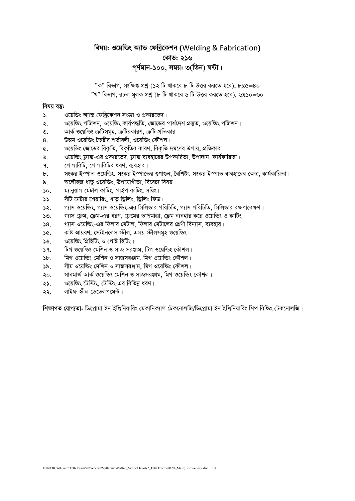## *welq: I‡qwìs A¨vÛ †dweª‡Kkb* **(**Welding & Fabrication**)** *†KvW: 216 c~Y©gvb-100, mgq: 3(wZb) N›Uv|*

 $^{\prime\prime}$ ক" বিভাগ, সংক্ষিপ্ত প্রশ্ন (১২ টি থাকবে ৮ টি উত্তর করতে হবে), ৮x*৫=*8০ *ÓLÓ wefvM, iPbv g~jK cÖkœ (8 wU \_vK‡e 6 wU DËi Ki‡Z n‡e), 6*x*10=60*

#### *বিষয় বস্তু:*

- ১. *<i>I* ওয়েন্ডিং অ্যান্ড ফেব্রিকেশন সংজ্ঞা ও প্রকারভেদ।
- *2. I‡qwìs cwRkb, I‡qwìs Kvh©c×wZ, †Rv‡oi cvk¦©‡`k cÖ¯'Z, I‡qwìs cwRkb|*
- ৩. আর্ক ওয়েল্ডিং ক্রটিসমূহ, ক্রটিরকারণ, ক্রটি প্রতিকার।
- $8.$  টত্তম ওয়েল্ডিং তৈরীর শর্তাবলী, ওয়েল্ডিং কৌশল।
- $6.$  *ও*য়েন্ডিং জোডের বিকতি, বিকতির কারণ, বিকতি দমণের উপায়, প্রতিকার।
- *6. I‡qwìs d¬v·-Gi cÖKvi‡f`, d¬v· e¨env‡ii DcKvwiZv, Dcv`vb, Kvh©KvwiZv|*
- ়<br>*৭. শোলারিটি, পোলারিটির ধরণ, ব্যবহার।*
- *৮. সংকর ইস্পাত ওয়েল্ডিং, সংকর ইস্পাতের গুণাগুন, বৈশিষ্ট্য, সংকর ইস্পাত ব্যবহারের ক্ষেত্র, কার্যকারিতা।*
- *9. A‡jŠnR avZz I‡qwìs, Dc‡hvMxZv, we‡eP¨ welq|*
- **১**০. ম্যানুয়াল মেটাল কাটিং, পাইপ কাটিং, সয়িং।
- $55.$  সীট মেটার শেয়ারিং, ধাতৃ ড্রিলিং, ড্রিলিং ফিড।
- **১২** গ্যাস ওয়েল্ডিং গ্যাস ওয়েল্ডিং-এর সিলিভার পরিচিতি গ্যাস পরিচিতি সিলিভার রক্ষণাবেক্ষণ।
- $1$ ৩. গ্যাস ফ্রেম, ফ্লেম-এর ধরণ, ফ্লেমের তাপমাত্রা, ফ্রেম ব্যবহার করে ওয়েল্ডিং ও কাটিং।
- $\frac{1}{28}$ . *MIA ও*য়েল্ডিং-এর ফিলার মেটাল, ফিলার মেটালের শ্রেণী বিন্যাস, ব্যবহার।
- **১৫. কাষ্ট আয়রণ, স্টেইনলেস স্টীল, এলয় স্টীলসমূহ ওয়েল্ডিং।**
- **১৬.** *<i>GRI* ও পোষ্ট হিটিং।
- **১৭. টিগ ওয়েল্ডিং মেশিন ও সাজ সরঞ্জাম, টিগ ওয়েল্ডিং কৌশল।**
- ১৮. মিগ ওয়েল্ডিং মেশিন ও সাজসরঞ্জাম, মিগ ওয়েল্ডিং কৌশল।
- ১৯. সীম ওয়েল্ডিং মেশিন ও সাজসরঞ্জাম, মিগ ওয়েল্ডিং কৌশল।
- ২০. সাবমাৰ্জ আৰ্ক ওয়েল্ডিং মেশিন ও সাজসরঞ্জাম, মিগ ওয়েল্ডিং কৌশল।
- $2$ ১. *ও*য়েল্ডিং টেস্টিং, টেস্টিং-এর বিভিন্ন ধরণ।
- ২২. লাইফ স্কীল ডেভেলপমেন্ট।

 $\hat{r}$ শক্ষাগত যোগ্যতা: ডিপ্লোমা ইন ইঞ্জিনিয়ারিং মেকানিক্যাল টেকনোলজি/ডিপ্লোমা ইন ইঞ্জিনিয়ারিং শিপ বিল্ডিং টেকনোলজি।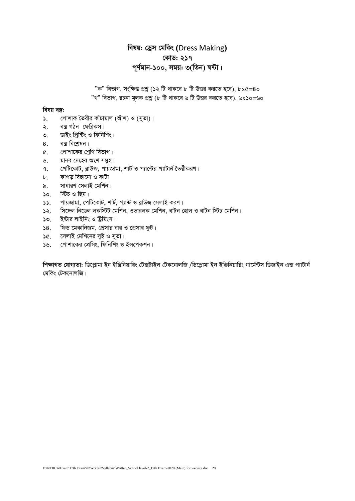## *welq: †Wªm †gwKs* **(**Dress Making**)** *†KvW: 217 c~Y©gvb-100, mgq: 3(wZb) N›Uv|*

 $"$ ক" বিভাগ, সংক্ষিপ্ত প্রশ্ন (১২ টি থাকবে ৮ টি উত্তর করতে হবে), ৮x৫=8০  $\!\!$  "খ" বিভাগ, রচনা মূলক প্রশ্ন (৮ টি থাকবে ৬ টি উত্তর করতে হবে), ৬x**১**০=৬০

#### *বিষয় ব*ম্ভ:

- ১. *দো*শাক তৈরীর কাঁচামাল (আঁশ) ও (সুতা)।
- ২. বস্ত্র গঠন ফেব্রিকস।
- *3. WvBs wc&ªw›Us I wdwbwks|*
- 8. বস্ত্ৰ বিশ্লেষন।
- *৫. শো*শাকের শ্রেণি বিভাগ।
- *৬. মানব দেহের অংশ সমূহ।*
- *7. †cwU‡KvU, eøvDR, cvqRvgv, kvU© I c¨v‡›Ui c¨vUvb© ‰ZixKiY|*
- *৮.* কাপড় বিছানো ও কাটা
- ৯. সাধারণ সেলাই মেশিন।
- $10.$  *স্টি*চ ও ছিম।
- **১১. পায়জামা, পেটিকোট, শার্ট, প্যান্ট ও ব্লাউজ সেলাই করণ।**
- $\frac{1}{2}$ ্র সিঙ্গেল নিডেল লকস্টিট মেশিন, ওভারলক মেশিন, বাটন হোল ও বাটন স্টিচ মেশিন।
- **১৩ ইন্টার লাইনিং ও টিমিংস।**
- $38.$  ফিড মেকানিজম, প্রেসার বার ও প্রেসার ফুট।
- **১৫. সেলাই মেশিনের সুই ও সুতা।**
- **১৬. গোশাকের প্রেসিং, ফিনিশিং ও ইন্সপেকশন।**

*শিক্ষাগত যোগ্যতা: ডিপ্লোমা ইন ইঞ্জিনিয়ারিং টেক্সটাইল টেকনোলজি /ডিপ্লোমা ইন ইঞ্জিনিয়ারিং গার্মেন্টস ডিজাইন এন্ড প্যাটার্ন †gwKs †UK‡bvjwR|*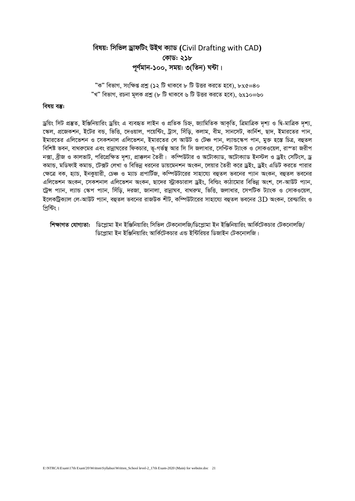## বিষয়: সিভিল ড্ৰাফটিং উইথ ক্যাড (Civil Drafting with CAD) কোড: ২১৮ পূর্ণমান-১০০, সময়: ৩(তিন) ঘন্টা।

"ক" বিভাগ, সংক্ষিপ্ত প্রশ্ন (১২ টি থাকবে ৮ টি উত্তর করতে হবে), ৮x৫=৪০ "খ" বিভাগ, রচনা মূলক প্রশ্ন (৮ টি থাকবে ৬ টি উত্তর করতে হবে), ৬x১০=৬০

#### বিষয় বস্তু:

ড্ৰয়িং সিট প্ৰস্তুত, ইঞ্জিনিয়ারিং ড্ৰয়িং এ ব্যবহৃত লাইন ও প্ৰতিক চিহ্ন, জ্যামিতিক আকৃতি, ত্ৰিমাত্ৰিক দৃশ্য ও দ্বি-মাত্ৰিক দৃশ্য, স্কেল, প্রজেকশন, ইটের বন্ড, ভিত্তি, দেওয়াল, পয়েন্টিং, ট্রাস, সিঁডি, কলাম, বীম, সানসেট, কার্নিশ, ছাদ, ইমারতের পান, ইমারতের এলিভেশন ও সেকশনাল এলিভেশন, ইমারতের লে আউট ও টেঞ্চ পান, ল্যান্ডস্কেপ পান, মুক্ত হস্তে চিত্র, বহুতল বিশিষ্ট ভবন, বাথরুমের এবং রান্নাঘরের ফিকচার, ভ-গর্ভস্ত আর সি সি জলাধার, সেন্টিক ট্যাংক ও সোকওয়েল, রাস্তা জরীপ নক্সা, ব্ৰীজ ও কালভাট, পরিপ্রেক্ষিত দৃশ্য, প্রাক্কলন তৈরী। কম্পিউটার ও অটোক্যাড, অটোক্যাড ইনস্টল ও ড্রইং সেটিংস, ড্র কমান্ড, মডিফাই কমান্ড, টেক্সট লেখা ও বিভিন্ন ধরনের ডায়মেনশন অংকন, লেয়ার তৈরী করে ড্রইং, ড্রইং এডিট করতে পারার ক্ষেত্রে বক, হ্যাচ, ইনকুয়ারী, চেঞ্চ ও ম্যাচ প্রপার্টিজ, কম্পিউটারের সাহায্যে বহুতল ভবনের প্যান অংকন, বহুতল ভবনের এলিভেশন অংকন, সেকশনাল এলিভেশন অংকন, ছাদের স্ট্রাকচারাল ড্রইং, বিল্ডিং কাঠামোর বিভিন্ন অংশ, লে-আউট প্যান, ট্রেন্স প্যান, ল্যান্ড স্কেপ প্যান, সিঁড়ি, দরজা, জানালা, রান্নাঘব, বাথরুম, ভিত্তি, জলাধার, সেপটিক ট্যাংক ও সোকওয়েল, ইলেকট্রিক্যাল লে-আউট প্যান, বহুতল ভবনের রাজউক শীট, কম্পিউটারের সাহায্যে বহুতল ভবনের 3D অংকন, রেন্ডারিং ও পিন্টিং।

শিক্ষাগত যোগ্যতা: ভিপ্লোমা ইন ইঞ্জিনিয়ারিং সিভিল টেকনোলজি/ডিপ্লোমা ইন ইঞ্জিনিয়ারিং আর্কিটেকচার টেকনোলজি/ ডিপ্রোমা ইন ইঞ্জিনিয়ারিং আর্কিটেকচার এন্ড ইন্টিরিয়র ডিজাইন টেকনোলজি।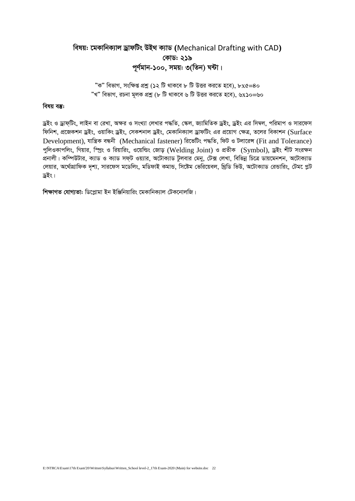## *welq: ‡gKvwbK¨vj WªvdwUs DB\_ K¨vW* **(**Mechanical Drafting with CAD**)** *†KvW: 219 c~Y©gvb-100, mgq: 3(wZb) N›Uv|*

 $^{\prime\prime}$ ক" বিভাগ, সংক্ষিপ্ত প্রশ্ন (১২ টি থাকবে ৮ টি উত্তর করতে হবে), ৮x৫=8০ *ÓLÓ wefvM, iPbv g~jK cÖkœ (8 wU \_vK‡e 6 wU DËi Ki‡Z n‡e), 6*x*10=60*

#### *বিষয় বস্তু:*

*ড্রইং ও ড্রাফ্টিং, লাইন বা রে*খা, অক্ষর ও সংখ্যা লেখার পদ্ধতি, স্কেল, জ্যামিতিক ড্রইং, ড্রইং এর সিম্বল, পরিমাপ ও সারফেস *ফি*নিশ, প্রজেকশন ড্রইং, ওয়াকিং ড্রইং, সেকশনাল ড্রইং, মেকানিক্যাল ড্রাফটিং এর প্রয়োগ ক্ষেত্র, তলের বিকাশন (Surface Development), যাম্বিক বন্ধনী (Mechanical fastener) রিভেটিং পদ্ধতি, ফিট ও টলারেন্স (Fit and Tolerance) *পুলিও*কাপলিং, গিয়ার, স্প্রিং ও রিয়ারিং, ওয়েল্ডিং জোড় (Welding Joint) ও প্রতীক (Symbol), ড্রইং শীট সংরক্ষন প্রনালী। কম্পিউটার, ক্যাড ও ক্যাড সফ্ট ওয়্যার, অটোক্যাড টুলবার মেনু, টেক্স লেখা, বিভিন্ন চিত্রে ডায়মেনশন, অটোক্যাড *†jqvi, A‡\_©vMÖvwdK `"k¨, mvi‡dm g‡Wwjs, gwWdvB KgvÛ, wm‡óg †fwi‡qej, w\_ªwW wfD, A‡UvK¨vW †iÛvwis, †Ug‡ cøU WªBs|*

 $\frac{1}{2}$  **শিক্ষাগত যোগ্যতা:** ডিপ্লোমা ইন ইঞ্জিনিয়ারিং মেকানিক্যাল টেকনোলজি।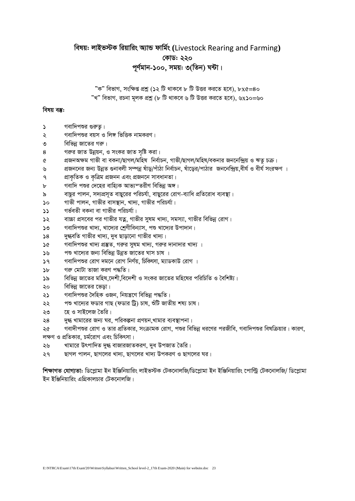## বিষয়: লাইভস্টক রিয়ারিং অ্যান্ড ফার্মিং (Livestock Rearing and Farming) কোড: ২২০ পূর্ণমান-১০০, সময়: ৩(তিন) ঘন্টা।

"ক" বিভাগ<sub>-</sub> সংক্ষিপ্ত প্রশ্ন (১২ টি থাকবে ৮ টি উত্তর করতে হবে), ৮x৫=৪০ "খ" বিভাগ, রচনা মূলক প্রশ্ন (৮ টি থাকবে ৬ টি উত্তর করতে হবে), ৬x১০=৬০

#### বিষয় বস্তু:

- গবাদিপশুর গুরুতু।  $\mathcal{L}$
- গবাদিপশুর বয়স ও লিঙ্গ ভিত্তিক নামকরণ।  $\mathcal{L}$
- বিভিন্ন জাতের গরু। ৩
- গরুর জাত উন্নয়ন, ও সংকর জাত সৃষ্টি করা। 8
- প্রজনঅক্ষম গাভী বা বকনা/ছাগল/মহিষ নির্বাচন, গাভী/ছাগল/মহিষ/বকনার জননেন্দ্রিয় ও ঋত চক্র।  $\alpha$
- প্রজননের জন্য উন্নত গুনাবলী সম্পন্ন ষাঁড/পাঁঠা নির্বাচন, ষাঁডের/পাঠার জননেন্দ্রিয়,বীর্য ও বীর্য সংরক্ষণ ।  $\mathbf{v}$
- প্রাকৃতিক ও কৃত্রিম প্রজনন এবং প্রজননে সাবধানতা।  $\mathsf{P}$
- গবাদি পশুর দেহের বাহ্যিক আভ্যুম্তরীণ বিভিন্ন অঙ্গ।  $\mathbf{b}$
- বাছুর পালন, সদ্যপ্রসৃত বাছুরের পরিচর্যা, বাছুরের রোগ-ব্যাধি প্রতিরোধ ব্যবস্থা। ৯
- গাভী পালন, গাভীর বাসস্থান, খাদ্য, গাভীর পরিচর্যা।  $\mathcal{L}$
- গৰ্ভবতী বকনা বা গাভীৱ পৱিচৰ্যা।  $\mathcal{L}$
- বাচ্চা প্রসবের পর গাভীর যতু, গাভীর সমম খাদ্য, সমস্যা, গাভীর বিভিন্ন রোগ।  $\mathcal{L}$
- $50$ গবাদিপশুর খাদ্য, খাদ্যের শ্রেণীবিন্যাস, পশু খাদ্যের উপাদান।
- দুগ্ধবতি গাভীর খাদ্য, দুধ ছাড়ানো গাভীর খাদ্য।  $\Delta 8$
- গবাদিপশুর খাদ্য প্রস্তুত, গরুর সুষম খাদ্য, গরুর দানাদার খাদ্য ।  $\mathcal{A}$
- পশু খাদ্যের জন্য বিভিন্ন উন্নত জাতের ঘাস চাষ ।  $\mathcal{D}$
- গবাদিপশুর রোগ দমনে রোগ নির্ণয়, চিকিৎসা, ম্যাডকাউ রোগ ।  $39$
- গরু মোটা তাজা করণ পদ্ধতি।  $\mathbf{h}$
- বিভিন্ন জাতের মহিষ দেশী বিদেশী ও সংকর জাতের মহিষের পরিচিতি ও বৈশিষ্ট্য।  $\mathcal{S}$
- বিভিন্ন জাতের ভেডা। ২০
- গবাদিপশুর দৈহিক ওজন, নিয়ন্ত্রণে বিভিন্ন পদ্ধতি। ২১
- পশু খাদ্যের ফডার গাছ (ফডার ট্রি) চাষ, শুঁটি জাতীয় শষ্য চাষ। ২২
- হে ও সাইলেজ তৈরি। ২৩
- দগ্ধ খামারের জন্য ঘর, পরিকল্পনা প্রণয়ন খামার ব্যবস্থাপনা।  $\Im 8$
- গবাদীপশুর রোগ ও তার প্রতিকার, সংক্রামক রোগ, পশুর বিভিন্ন ধরণের পরজীবি, গবাদিপশুর বিষক্রিয়ার। কারণ, ২৫ লক্ষণ ও প্রতিকার, চর্মরোগ এবং চিকিৎসা।
- খামারে উৎপাদিত দুগ্ধ বাজারজাতকরণ, দুধ উপজাত তৈরি। ২৬
- ছাগল পালন, ছাগলের খাদ্য, ছাগলের খাদ্য উপকরণ ও ছাগলের ঘর। ২৭

শিক্ষাগত যোগ্যতা: ডিপ্লোমা ইন ইঞ্জিনিয়ারিং লাইভস্টক টেকনোলজি/ডিপ্লোমা ইন ইঞ্জিনিয়ারিং পোল্ট্রি টেকনোলজি/ ডিপ্লোমা ইন ইঞ্জিনিয়ারিং এগ্রিকালচার টেকনোলজি।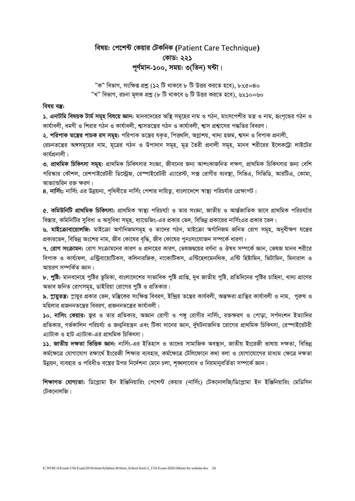## *welq: †c‡k›U †Kqvi †UKwbK* **(**Patient Care Technique**)** *†KvW: 221* পূৰ্ণমান-১০০, সময়<u>:</u> ৩(তিন) ঘন্টা।

 $^{\prime\prime}$ ক" বিভাগ, সংক্ষিপ্ত প্রশ্ন (১২ টি থাকবে ৮ টি উত্তর করতে হবে), ৮x৫=8০ *ÓLÓ wefvM, iPbv g~jK cÖkœ (8 wU \_vK‡e 6 wU DËi Ki‡Z n‡e), 6*x*10=60*

#### *বিষয় বস্তু:*

 $\boldsymbol{\lambda}$ , **এনাটমি বিষয়ক টার্ম সমূহ বিষয়ে জ্ঞান:** মানবদেহের অস্থি সমূহের নাম ও গঠন, মাংসপেশীর তন্ত্র ও নাম, হংপন্ডের গঠন ও কার্যাবলী, ধমণী ও শিরার গঠন ও কার্যাবলী, শ্বাসতন্ত্রের গঠন ও কার্যাবলী, শ্বাস প্রশ্বাসের পদ্ধতির বিবরণ।

২. প**রিপাক তন্ত্রের পাচক রস সমূহ:** পরিপাক তন্ত্রের যকৃত, পিত্তথলি, অগ্নাশয়, খাদ্য হজম, শ্বসন ও বিপাক প্রনালী,

*†iPbZ‡š¿i A½mg~‡ni bvg, g~‡Îi MVb I Dcv`vb mg~n, g~Î ˆZix cÖbvjx mg~n, gvbe kix‡ii B‡jK‡Uªv jvB‡Ui*  কাৰ্যপ্ৰনালী।

৩. প্রাথমিক চিকিৎসা সমূহ: প্রাথমিক চিকিৎসার সংজ্ঞা, জীবনের জন্য আশংকাজনিত লক্ষণ, প্রাথমিক চিকিৎসার জন্য বেশি *প*রিস্কার কৌশল, রেশপাইরেটরী ডিস্ট্রেজ, রেস্পাইরেটরী এ্যারেস্ট, সক্স রোগীর ব্যবস্থা, সিভিএ, সিভিডি, আরটিএ, কোমা, <u>আভ্যান্ডরিন রক্ত ক্ষরণ।</u>

 $8.$  **নার্সিং:** নার্সিং এর উন্নয়ন্য, পৃথিবীতে নার্সিং পেশার দায়িতু, বাংলাদেশে স্বাস্থ্য পরিচর্যার প্রেক্ষাপট।

*6.* কমিউনিটি প্রাথমিক চিকিৎসা: প্রাথমিক স্বাস্থ্য পরিচর্য্যা ও তার সংজ্ঞা, জাতীয় ও আর্ন্তজাতিক ভাবে প্রাথমিক পরিচর্য্যার বিস্তার, কমিনিটির সুবিধা ও অসুবিধা সমূহ, ব্যান্ডেজিং-এর প্রকার ভেদ, বিভিন্ন প্রকারের নার্সিংএর প্রকার ভেদ।

*৬. মাইক্রোবায়োলজি: মাইক্রো অর্গানিজমসমূহ ও তাদের গঠন, মাইক্রো অর্গানিজম জনিত রোগ সমূহ, অনুবীক্ষণ যন্ত্রের* প্রকারভেদ, বিভিন্ন অংশের নাম, জীব কোষের বদ্ধি, জীব কোষের পুনঃসংযোজন সম্পর্কে ধারণা।

<mark>9. রোগ সংক্রামন:</mark> রোগ সংক্রামনের কারণ ও প্রদাহের কারণ, ভেষজদ্বয়ের বর্ণনা ও ঔষধ সম্পর্কে জ্ঞান, ভেষজ মানব শরীরে *বি*পাক ও কাৰ্য্যফল, এন্ট্ৰিবায়োটিকস, কলিনারজিক, নাকোটিকস, এন্টিফেলমেনথিক, এন্টি হিষ্টামিন, ভিটামিন, মিনারাল ও আয়রণ সম্পর্কিত জ্ঞান।

 $\,$ ৮. পুষ্টি: মানবদেহে পুষ্টির ভূমিকা, বাংলাদেশের সাভাবিক পুষ্টি প্রাণ্ডি, দুধ জাতীয় পুষ্টি, প্রতিদিনের পুষ্টির চাহিদা, খাদ্য প্রাণের *অ*ভাব জনিত রোগসমূহ, ডাইরিয়া রোগের পুষ্টি ও প্রতিকার।

 $\bm{b}$ , স্নায়ুতন্তঃ: স্নায়ুর প্রকার ভেদ, মম্ভিকের সংক্ষিপ্ত বিবরণ, ইন্দ্রিয় তন্ত্রের কার্যবলী গ্রাগীবলী ও নাম, পুরুষ ও মহিলার প্রজননতন্ত্রের বিবরণ, প্রজননতন্ত্রের কার্যাবলী।

 $\bullet$ ০. নাসিং কেয়ার: জুর ও তার প্রতিকার, অজ্ঞান রোগী ও পঙ্গু রোগীর নার্সিং, রক্তক্ষরণ ও পোড়া, সর্পদংশন ইত্যাদির প্রতিকার, গর্ভকালিন পরিচর্য্য ও জন্মনিয়ন্ত্রন এবং টিকা দানের জ্ঞান, র্দুঘটনাজনিত রোগের প্রাথমিক চিকিৎসা, রেস্পাইরেটরী *এ্যা*টাক ও হাট এ্যাটাক-এর প্রাথমিক চিকিৎসা।

*11. RvZxq `ÿZv wfwËK Ávb: bvwm©s-Gi BwZnvm I Zv‡`i mvgvwRK Ae¯'vb, RvZxq Bs‡iRx fvlvq `ÿZv, wewfbœ কর্মক্ষেত্রে যোগাযোগ রক্ষার্থে ইংরেজী শিক্ষার ব্যবহার, কর্মক্ষেত্রে টেলিফোনে কথা বলা ও যোগাযোগের মাধ্যম ক্ষেত্রে দক্ষতা* উন্নয়ন, ব্যবহার ও পরিধীও বস্ত্রের উপর নির্দেশনা মেনে চলা, শৃঙ্খলাবোধ ও নিয়মানুবর্তিতা সম্পর্কে জ্ঞান।

*শিক্ষাগত যোগ্যতা: ডিপ্লোমা ইন ইঞ্জিনিয়ারিং পেশেন্ট কেয়ার (নার্সিং) টেকনোলজি/ডিপ্লোমা ইন ইঞ্জিনিয়ারিং মেডিসিন †UK‡bvjwR|*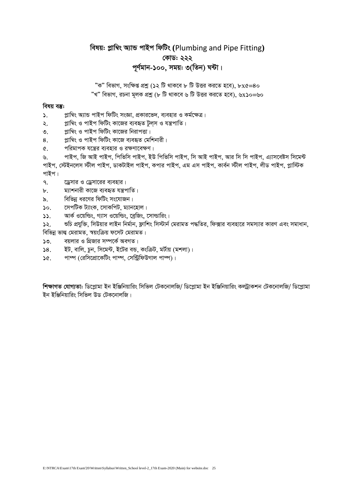## বিষয়: প্লাম্বিং অ্যান্ড পাইপ ফিটিং (Plumbing and Pipe Fitting) কোড: ২২২ পূর্ণমান-১০০, সময়: ৩(তিন) ঘন্টা।

"ক" বিভাগ, সংক্ষিপ্ত প্রশ্ন (১২ টি থাকবে ৮ টি উত্তর করতে হবে), ৮x৫=৪০ "খ" বিভাগ, রচনা মূলক প্রশ্ন (৮ টি থাকবে ৬ টি উত্তর করতে হবে), ৬x১০=৬০

#### বিষয় বস্তু:

- প্লাম্বিং অ্যান্ড পাইপ ফিটিং সংজ্ঞা, প্রকারভেদ, ব্যবহার ও কর্মক্ষেত্র।  $\mathbf{S}$ .
- প্লাম্বিং ও পাইপ ফিটিং কাজের ব্যবহৃত টুলস ও যন্ত্রপাতি।  $\lambda$ .
- প্লাম্বিং ও পাইপ ফিটিং কাজের নিরাপত্তা।  $\mathcal{O}$ .
- প্লাম্বিং ও পাইপ ফিটিং কাজে ব্যবহৃত মেশিনারী।  $8<sub>1</sub>$
- পরিমাপক যন্ত্রের ব্যবহার ও রক্ষণাবেক্ষণ।  $\sigma$

পাইপ, জি আই পাইপ, পিভিসি পাইপ, ইউ পিভিসি পাইপ, সি আই পাইপ, আর সি সি পাইপ, এ্যাসবেষ্টস সিমেন্ট  $\mathcal{N}_{\Lambda}$ পাইপ, স্টেইনলেস স্টীল পাইপ, ডাকটাইল পাইপ, কপার পাইপ, এম এস পাইপ, কার্বন স্টীল পাইপ, লীড পাইপ, প্লাস্টিক পাইপ।

- $\mathsf{q}$ . ড্রেসার ও ড্রেসারের ব্যবহার।
- ম্যাশনারী কাজে ব্যবহৃত যন্ত্রপাতি।  $\mathbf{b}$ .
- বিভিন্ন ধরণের ফিটিং সংযোজন।  $\lambda$
- সেপটিক ট্যাংক, সোকপিট, ম্যানহোল।  $\mathcal{L}$
- আর্ক ওয়েল্ডিং, গ্যাস ওয়েল্ডিং, বেজিং, সোল্ডারিং।  $\mathbf{S}$

শুচি প্রযুক্তি, সিউয়ার লাইন নির্মান, ফ্লাশিং সিস্টার্ন মেরামত পদ্ধতির, ফিক্সার ব্যবহারে সমস্যার কারণ এবং সমাধান,  $55.$ বিভিন্ন ভাল্ব মেরামত, স্বয়ংক্রিয় ফসেট মেরামত।

- বয়লার ও গ্রিজার সম্পর্কে অবগত।  $50.$
- ইট, বালি, চুন, সিমেন্ট, ইটের বন্ড, কংক্রিট, মর্টায় (মশলা)।  $58.$
- পাম্প (রেসিপ্রোকেটিং পাম্প, সেন্ট্রিফিউগাল পাম্প)।  $36.$

শিক্ষাগত যোগ্যতা: ডিপ্লোমা ইন ইঞ্জিনিয়ারিং সিভিল টেকনোলজি/ ডিপ্লোমা ইন ইঞ্জিনিয়ারিং কল্টাকশন টেকনোলজি/ ডিপ্লোমা ইন ইঞ্জিনিয়ারিং সিভিল উড টেকনোলজি।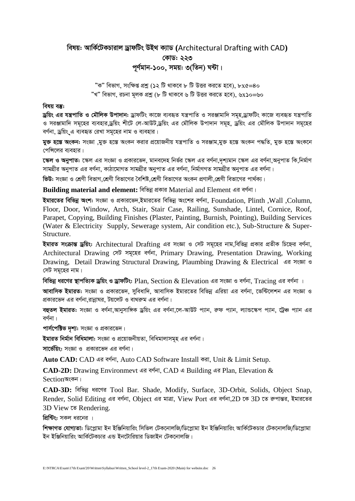## *welq: AvwK©‡UKPvivj WªvdwUs DB\_ K¨vW* **(**Architectural Drafting with CAD**)** *†KvW: 223* পূৰ্ণমান-১০০, সময়: ৩(তিন) ঘন্টা।

*ÓKÓ wefvM, mswÿß cÖkœ (12 wU \_vK‡e 8 wU DËi Ki‡Z n‡e), 8*x*5=40 ÓLÓ wefvM, iPbv g~jK cÖkœ (8 wU \_vK‡e 6 wU DËi Ki‡Z n‡e), 6*x*10=60*

#### *বিষয় বস্তু:*

*Wªwqs Gi hš¿cvwZ I †gŠwjK Dcv`vb: WªvdwUs Kv‡R e¨eüZ hš¿cvwZ I miÄvgvw` mg~n,WªvdwUs Kv‡R e¨eüZ hš¿cvwZ*  ও সরঞ্জামাদি সমূহের ব্যবহার,ড্রয়িং শীটে লে-আউট,ড্রয়িং এর মৌলিক উপাদান সমূহ, ড্রয়িং এর মৌলিক উপাদান সমূহের বর্ণনা, ড্রয়িং এ ব্যবহৃত রেখা সমূহের নাম ও ব্যবহার।

 $\overline{\textbf{a}}$ চ্চ **অংকন:** সংজ্ঞা মাক্ত হস্তে অংকন করার প্রয়োজনীয় যন্ত্রপাতি ও সরঞ্জাম মাক্ত হস্তে অংক সদ্ধতি, মাক্ত হস্তে অংকনে *পে*সিলের ব্যবহার।

*t* ক্ষল ও অনুপাত: স্কেল এর সংজ্ঞা ও প্রকারভেদ, মানবদেহ নির্ভর স্কেল এর বর্ণনা দশ্যমান স্কেল এর বর্ণনা অনুপাত কি নির্মাণ সামগ্রীর অনুপাত এর বর্ণনা, কাঠামোগত সামগ্রীর অনুপাত এর বর্ণনা, নির্মাণগত সামগ্রীর অনুপাত এর বর্ণনা।

**ভিউ:** সংজ্ঞা ও শ্রেণী বিভাগ শ্রেণী বিভাগের বৈশিষ্ট শ্রেণী বিভাগের অংকন প্রণালী শ্রেণী বিভাগের পার্থক্য।

**Building material and element: বিভিন্ন প্ৰকার Material and Element এর বর্ণনা।** 

ইমারতের বিভিন্ন অংশ: সংজ্ঞা ও প্রকারভেদ,ইমারতের বিভিন্ন অংশের বর্ণনা, Foundation, Plinth ,Wall ,Column, Floor, Door, Window, Arch, Stair, Stair Case, Railing, Sunshade, Lintel, Cornice, Roof, Parapet, Copying, Building Finishes (Plaster, Painting, Burnish, Pointing), Building Services (Water & Electricity Supply, Sewerage system, Air condition etc.), Sub-Structure & Super-Structure.

**ইমারত সংক্রান্ত ড্রয়িং:** Architectural Drafting এর সংজ্ঞা ও সেট সমূহের নাম,বিভিন্ন প্রকার প্রতীক চিহ্নের বর্ণনা, Architectural Drawing সেট সমূহের বর্ণনা, Primary Drawing, Presentation Drawing, Working Drawing, Detail Drawing Structural Drawing, Plaumbing Drawing & Electrical এর সংজ্ঞা ও *†mU mg~‡ni bvg|*

**বিভিন্ন ধরণের স্থাপত্যিক ড্রয়িং ও ড্রাফটিং: Plan, Section & Elevation এর সংজ্ঞা ও বর্ণনা, Tracing এর বর্ণনা ।** 

**আবাসিক ইমারত:** সংজ্ঞা ও প্রকারভেদ, সবিধাদি, আবাসিক ইমারতের বিভিন্ন এরিয়া এর বর্ণনা, ভেন্টিলেশন এর সংজ্ঞা ও প্রকারভেদ এর বর্ণনা রান্নাঘর, টয়লেট ও বাথরুম এর বর্ণনা।

**বহুতল ইমারত:** সংজ্ঞা ও বর্ণনা আনুসাঙ্গিক ড্রয়িং এর বর্ণনা লে-আউট প্যান, রুফ প্যান, ল্যান্ডস্কেপ প্যান, ট্রেঞ্চ প্যান এর বৰ্ণনা ।

**পাৰ্সপেক্টিভ দৃশ্য:** সংজ্ঞা ও প্ৰকারভেদ।

ইমারত নির্মান বিধিমালা: সংজ্ঞা ও প্রয়োজনীয়তা, বিধিমালাসমূহ এর বর্ণনা।

**সার্ভেয়িং:** সংজ্ঞা ও প্রকারভেদ এর বর্ণনা।

Auto CAD: CAD এর বর্ণনা, Auto CAD Software Install করা, Unit & Limit Setup.

CAD-2D: Drawing Environmevt এর বর্ণনা, CAD এ Building এর Plan, Elevation &  $Section$  সংকন।

CAD-3D: বিভিন্ন ধরণের Tool Bar. Shade, Modify, Surface, 3D-Orbit, Solids, Object Snap, Render, Solid Editing এর বর্ণনা, Object এর মাত্রা, View Port এর বর্ণনা,2D কে 3D তে রুপান্তর, ইমারতের 3D View  $\overline{\mathcal{C}}$  Rendering.

*প্রিন্টিং:* সকল ধরনের ।

*শিক্ষাগত যোগ্যতা: ডিপ্লোমা ইন ইঞ্জিনিয়ারিং সিভিল টেকনোলজি/ডিপ্লোমা ইন ইঞ্জিনিয়ারিং আর্কিটেকচার টেকনোলজি/ডিপ্লোমা* ইন ইঞ্জিনিয়ারিং আর্কিটেকচার এন্ড ইনটোরিয়ার ডিজাইন টেকনোলজি।